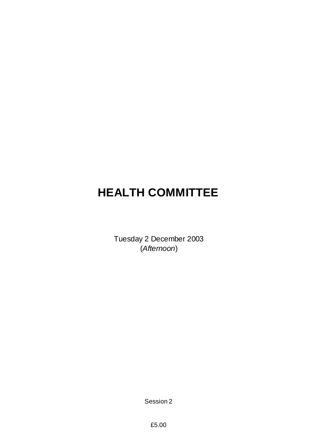# **HEALTH COMMITTEE**

Tuesday 2 December 2003 (*Afternoon*)

Session 2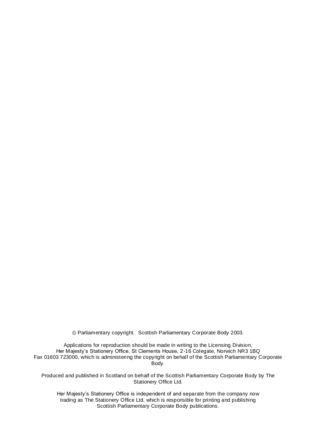Parliamentary copyright. Scottish Parliamentary Corporate Body 2003.

Applications for reproduction should be made in writing to the Licensing Division, Her Majesty's Stationery Office, St Clements House, 2-16 Colegate, Norwich NR3 1BQ Fax 01603 723000, which is administering the copyright on behalf of the Scottish Parliamentary Corporate Body.

Produced and published in Scotland on behalf of the Scottish Parliamentary Corporate Body by The Stationery Office Ltd.

Her Majesty's Stationery Office is independent of and separate from the company now trading as The Stationery Office Ltd, which is responsible for printing and publishing Scottish Parliamentary Corporate Body publications.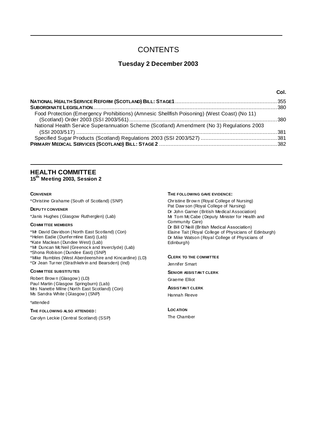# **CONTENTS**

# **Tuesday 2 December 2003**

| Food Protection (Emergency Prohibitions) (Amnesic Shellfish Poisoning) (West Coast) (No 11) |  |
|---------------------------------------------------------------------------------------------|--|
| National Health Service Superannuation Scheme (Scotland) Amendment (No 3) Regulations 2003  |  |
|                                                                                             |  |

# **HEALTH COMMITTEE**

**15th Meeting 2003, Session 2**

### **CONVENER**

\*Christine Grahame (South of Scotland) (SNP)

#### **DEPU TY CONVENER**

\*Janis Hughes (Glasgow Rutherglen) (Lab)

### **COMMI TTEE MEMBERS**

\*Mr David Davidson (North East Scotland) (Con) \*Helen Eadie (Dunfermline East) (Lab) \*Kate Maclean (Dundee West) (Lab) \*Mr Duncan McNeil (Greenock and Inverclyde) (Lab) \*Shona Robison (Dundee East) (SNP) \*Mike Rumbles (West Aberdeenshire and Kincardine) (LD) \*Dr Jean Turner (Strathkelvin and Bearsden) (Ind)

#### **COMMI TTEE SUBSTITU TES**

Robert Brow n (Glasgow ) (LD) Paul Martin (Glasgow Springburn) (Lab) Mrs Nanette Milne (North East Scotland) (Con) Ms Sandra White (Glasgow ) (SNP)

#### \*attended

#### **THE FOLLOWING ALSO ATTENDED :**

Carolyn Leckie (Central Scotland) (SSP)

#### **THE FOLLOWING GAVE EVIDENCE:**

Christine Brow n (Royal College of Nursing) Pat Daw son (Royal College of Nursing) Dr John Garner (British Medical Association) Mr Tom McCabe (Deputy Minister for Health and Community Care) Dr Bill O'Neill (British Medical Association) Elaine Tait (Royal College of Physicians of Edinburgh) Dr Mike Watson (Royal College of Physicians of Edinburgh)

**Col.**

#### **CLERK TO THE COMMITTEE**

Jennifer Smart

**SENIOR ASSISTAN T CLERK** Graeme Elliot

**ASSISTAN T CLERK** Hannah Reeve

# **LOC ATION**

The Chamber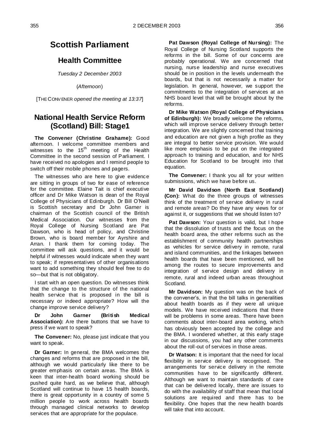# **Scottish Parliament**

# **Health Committee**

*Tuesday 2 December 2003*

(*Afternoon*)

[THE CONV ENER *opened the meeting at 13:37*]

# **National Health Service Reform (Scotland) Bill: Stage1**

**The Convener (Christine Grahame):** Good afternoon. I welcome committee members and witnesses to the  $15<sup>th</sup>$  meeting of the Health Committee in the second session of Parliament. I have received no apologies and I remind people to switch off their mobile phones and pagers.

The witnesses who are here to give evidence are sitting in groups of two for ease of reference for the committee. Elaine Tait is chief executive officer and Dr Mike Watson is dean of the Royal College of Physicians of Edinburgh. Dr Bill O'Neill is Scottish secretary and Dr John Garner is chairman of the Scottish council of the British Medical Association. Our witnesses from the Royal College of Nursing Scotland are Pat Dawson, who is head of policy, and Christine Brown, who is board member for Ayrshire and Arran. I thank them for coming today. The committee will ask questions, and it would be helpful if witnesses would indicate when they want to speak; if representatives of other organisations want to add something they should feel free to do so—but that is not obligatory.

I start with an open question. Do witnesses think that the change to the structure of the national health service that is proposed in the bill is necessary or indeed appropriate? How will the change improve service delivery?

**Dr John Garner (British Medical Association):** Are there buttons that we have to press if we want to speak?

**The Convener:** No, please just indicate that you want to speak.

**Dr Garner:** In general, the BMA welcomes the changes and reforms that are proposed in the bill, although we would particularly like there to be greater emphasis on certain areas. The BMA is keen that inter-health board working should be pushed quite hard, as we believe that, although Scotland will continue to have 15 health boards, there is great opportunity in a country of some 5 million people to work across health boards through managed clinical networks to develop services that are appropriate for the populace.

**Pat Dawson (Royal College of Nursing):** The Royal College of Nursing Scotland supports the reforms in the bill. Some of our concerns are probably operational. We are concerned that nursing, nurse leadership and nurse executives should be in position in the levels underneath the boards, but that is not necessarily a matter for legislation. In general, however, we support the commitments to the integration of services at an NHS board level that will be brought about by the reforms.

**Dr Mike Watson (Royal College of Physicians of Edinburgh):** We broadly welcome the reforms, which will improve service delivery through better integration. We are slightly concerned that training and education are not given a high profile as they are integral to better service provision. We would like more emphasis to be put on the integrated approach to training and education, and for NHS Education for Scotland to be brought into that equation.

**The Convener:** I thank you all for your written submissions, which we have before us.

**Mr David Davidson (North East Scotland) (Con):** What do the three groups of witnesses think of the treatment of service delivery in rural and remote areas? Do they have any views for or against it, or suggestions that we should listen to?

**Pat Dawson:** Your question is valid, but I hope that the dissolution of trusts and the focus on the health board area, the other reforms such as the establishment of community health partnerships as vehicles for service delivery in remote, rural and island communities, and the linkages between health boards that have been mentioned, will be among the routes to secure improvements and integration of service design and delivery in remote, rural and indeed urban areas throughout Scotland.

**Mr Davidson:** My question was on the back of the convener's, in that the bill talks in generalities about health boards as if they were all unique models. We have received indications that there will be problems in some areas. There have been comments about inter-board area working, which has obviously been accepted by the college and the BMA. I wondered whether, at this early stage in our discussions, you had any other comments about the roll-out of services in those areas.

**Dr Watson:** It is important that the need for local flexibility in service delivery is recognised. The arrangements for service delivery in the remote communities have to be significantly different. Although we want to maintain standards of care that can be delivered locally, there are issues to do with the availability of staff that mean that local solutions are required and there has to be flexibility. One hopes that the new health boards will take that into account.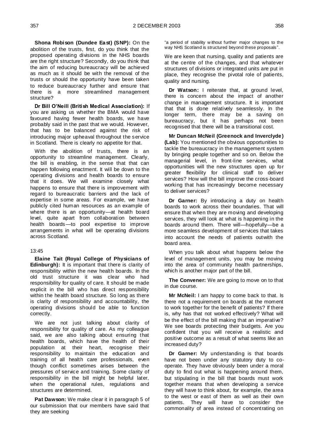**Shona Robison (Dundee East) (SNP):** On the abolition of the trusts, first, do you think that the proposed operating divisions in the NHS boards are the right structure? Secondly, do you think that the aim of reducing bureaucracy will be achieved as much as it should be with the removal of the trusts or should the opportunity have been taken to reduce bureaucracy further and ensure that there is a more streamlined management structure?

**Dr Bill O'Neill (British Medical Association):** If you are asking us whether the BMA would have favoured having fewer health boards, we have probably said in the past that we would. However, that has to be balanced against the risk of introducing major upheaval throughout the service in Scotland. There is clearly no appetite for that.

With the abolition of trusts, there is an opportunity to streamline management. Clearly, the bill is enabling, in the sense that that can happen following enactment. It will be down to the operating divisions and health boards to ensure that it does. We will examine closely what happens to ensure that there is improvement with regard to bureaucratic barriers and the lack of expertise in some areas. For example, we have publicly cited human resources as an example of where there is an opportunity—at health board level, quite apart from collaboration between health boards—to pool expertise to improve arrangements in what will be operating divisions across Scotland.

#### 13:45

**Elaine Tait (Royal College of Physicians of Edinburgh):** It is important that there is clarity of responsibility within the new health boards. In the old trust structure it was clear who had responsibility for quality of care. It should be made explicit in the bill who has direct responsibility within the health board structure. So long as there is clarity of responsibility and accountability, the operating divisions should be able to function correctly.

We are not just talking about clarity of responsibility for quality of care. As my colleague said, we are also talking about ensuring that health boards, which have the health of their population at their heart, recognise their responsibility to maintain the education and training of all health care professionals, even though conflict sometimes arises between the pressures of service and training. Some clarity of responsibility in the bill might be helpful later, when the operational rules, regulations and structures are determined.

**Pat Dawson:** We make clear it in paragraph 5 of our submission that our members have said that they are seeking

"a period of stability without further major changes to the way NHS Scotland is structured beyond these proposals".

We are keen that nursing, quality and patients are at the centre of the changes, and that whatever structures of divisions or integrated units are put in place, they recognise the pivotal role of patients, quality and nursing.

**Dr Watson:** I reiterate that, at ground level, there is concern about the impact of another change in management structure. It is important that that is done relatively seamlessly. In the longer term, there may be a saving on bureaucracy, but it has perhaps not been recognised that there will be a transitional cost.

**Mr Duncan McNeil (Greenock and Inverclyde) (Lab):** You mentioned the obvious opportunities to tackle the bureaucracy in the management system by bringing people together and so on. Below the managerial level, in front-line services, what opportunities will the new structures open up for greater flexibility for clinical staff to deliver services? How will the bill improve the cross-board working that has increasingly become necessary to deliver services?

**Dr Garner:** By introducing a duty on health boards to work across their boundaries. That will ensure that when they are moving and developing services, they will look at what is happening in the boards around them. There will—hopefully—be a more seamless development of services that takes into account the needs of patients outwith the board area.

When you talk about what happens below the level of management units, you may be moving into the area of community health partnerships, which is another major part of the bill.

**The Convener:** We are going to move on to that in due course.

**Mr McNeil:** I am happy to come back to that. Is there not a requirement on boards at the moment to work together for the benefit of patients? If there is, why has that not worked effectively? What will be the effect of the bill making that an imperative? We see boards protecting their budgets. Are you confident that you will receive a realistic and positive outcome as a result of what seems like an increased duty?

**Dr Garner:** My understanding is that boards have not been under any statutory duty to cooperate. They have obviously been under a moral duty to find out what is happening around them, but stipulating in the bill that boards must work together means that when developing a service they will have to think about, for example, the area to the west or east of them as well as their own patients. They will have to consider the commonality of area instead of concentrating on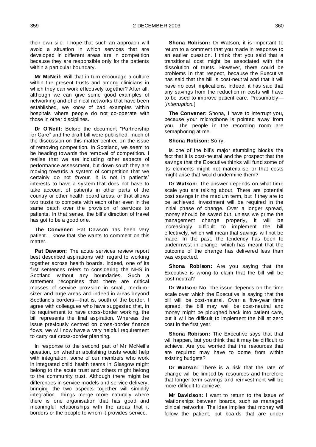their own silo. I hope that such an approach will avoid a situation in which services that are developed in different areas are in competition because they are responsible only for the patients within a particular boundary.

**Mr McNeil:** Will that in turn encourage a culture within the present trusts and among clinicians in which they can work effectively together? After all, although we can give some good examples of networking and of clinical networks that have been established, we know of bad examples within hospitals where people do not co-operate with those in other disciplines.

**Dr O'Neill:** Before the document "Partnership" for Care" and the draft bill were published, much of the discussion on this matter centred on the issue of removing competition. In Scotland, we seem to be heading towards the removal of competition. I realise that we are including other aspects of performance assessment, but down south they are moving towards a system of competition that we certainly do not favour. It is not in patients' interests to have a system that does not have to take account of patients in other parts of the country or other health board areas, or that allows two trusts to compete with each other even in the same patch over the provision of services to patients. In that sense, the bill's direction of travel has got to be a good one.

**The Convener:** Pat Dawson has been very patient. I know that she wants to comment on this matter.

**Pat Dawson:** The acute services review report best described aspirations with regard to working together across health boards. Indeed, one of its first sentences refers to considering the NHS in Scotland without any boundaries. Such a statement recognises that there are critical masses of service provision in small, medium sized and large areas and indeed in areas beyond Scotland's borders—that is, south of the border. I agree with colleagues who have suggested that, in its requirement to have cross-border working, the bill represents the final aspiration. Whereas the issue previously centred on cross-border finance flows, we will now have a very helpful requirement to carry out cross-border planning.

In response to the second part of Mr McNeil's question, on whether abolishing trusts would help with integration, some of our members who work in integrated child health teams in Glasgow might belong to the acute trust and others might belong to the community trust. Although there might be differences in service models and service delivery, bringing the two aspects together will simplify integration. Things merge more naturally where there is one organisation that has good and meaningful relationships with the areas that it borders or the people to whom it provides service.

**Shona Robison:** Dr Watson, it is important to return to a comment that you made in response to an earlier question. I think that you said that a transitional cost might be associated with the dissolution of trusts. However, there could be problems in that respect, because the Executive has said that the bill is cost-neutral and that it will have no cost implications. Indeed, it has said that any savings from the reduction in costs will have to be used to improve patient care. Presumably— [*Interruption.*]

**The Convener:** Shona, I have to interrupt you, because your microphone is pointed away from you. The people in the recording room are semaphoring at me.

#### **Shona Robison:** Sorry.

Is one of the bill's major stumbling blocks the fact that it is cost-neutral and the prospect that the savings that the Executive thinks will fund some of its elements might not materialise or that costs might arise that would undermine them?

**Dr Watson:** The answer depends on what time scale you are talking about. There are potential cost savings in the medium term, but if they are to be achieved, investment will be required in the initial phase of change. Over a longer spread, money should be saved but, unless we prime the management change properly, it will be increasingly difficult to implement the bill effectively, which will mean that savings will not be made. In the past, the tendency has been to underinvest in change, which has meant that the outcome of the change has delivered less than was expected.

**Shona Robison:** Are you saying that the Executive is wrong to claim that the bill will be cost-neutral?

**Dr Watson:** No. The issue depends on the time scale over which the Executive is saying that the bill will be cost-neutral. Over a five-year time spread, the bill may well be cost-neutral and money might be ploughed back into patient care, but it will be difficult to implement the bill at zero cost in the first year.

**Shona Robison:** The Executive says that that will happen, but you think that it may be difficult to achieve. Are you worried that the resources that are required may have to come from within existing budgets?

**Dr Watson:** There is a risk that the rate of change will be limited by resources and therefore that longer-term savings and reinvestment will be more difficult to achieve.

**Mr Davidson:** I want to return to the issue of relationships between boards, such as managed clinical networks. The idea implies that money will follow the patient, but boards that are under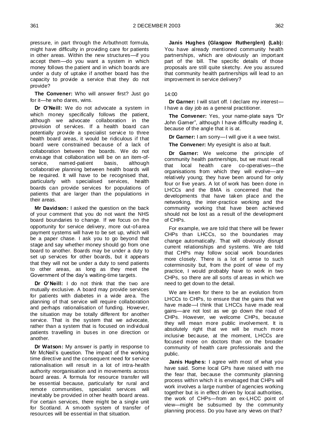pressure, in part through the Arbuthnott formula, might have difficulty in providing care for patients in other areas. Within the new structures—if you accept them—do you want a system in which money follows the patient and in which boards are under a duty of uptake if another board has the capacity to provide a service that they do not provide?

**The Convener:** Who will answer first? Just go for it—he who dares, wins.

**Dr O'Neill:** We do not advocate a system in which money specifically follows the patient, although we advocate collaboration in the provision of services. If a health board can potentially provide a specialist service to three health board areas, it would be ridiculous if that board were constrained because of a lack of collaboration between the boards. We do not envisage that collaboration will be on an item-ofservice, named-patient basis, although collaborative planning between health boards will be required. It will have to be recognised that, particularly with specialised services, health boards can provide services for populations of patients that are larger than the populations in their areas.

**Mr Davidson:** I asked the question on the back of your comment that you do not want the NHS board boundaries to change. If we focus on the opportunity for service delivery, more out-of-area payment systems will have to be set up, which will be a paper chase. I ask you to go beyond that stage and say whether money should go from one board to another. Boards may be under a duty to set up services for other boards, but it appears that they will not be under a duty to send patients to other areas, as long as they meet the Government of the day's waiting-time targets.

**Dr O'Neill:** I do not think that the two are mutually exclusive. A board may provide services for patients with diabetes in a wide area. The planning of that service will require collaboration and perhaps rationalisation of funding. However, the situation may be totally different for another service. That is the system that we advocate, rather than a system that is focused on individual patients travelling in buses in one direction or another.

**Dr Watson:** My answer is partly in response to Mr McNeil's question. The impact of the working time directive and the consequent need for service rationalisation will result in a lot of intra-health authority reorganisation and in movements across board areas. A formula for resource transfer will be essential because, particularly for rural and remote communities, specialist services will inevitably be provided in other health board areas. For certain services, there might be a single unit for Scotland. A smooth system of transfer of resources will be essential in that situation.

**Janis Hughes (Glasgow Rutherglen) (Lab):**  You have already mentioned community health partnerships, which are obviously an important part of the bill. The specific details of those proposals are still quite sketchy. Are you assured that community health partnerships will lead to an improvement in service delivery?

# 14:00

**Dr Garner:** I will start off. I declare my interest— I have a day job as a general practitioner.

The Convener: Yes, your name-plate says "Dr John Garner", although I have difficulty reading it. because of the angle that it is at.

**Dr Garner:** I am sorry—I will give it a wee twist.

**The Convener:** My eyesight is also at fault.

**Dr Garner:** We welcome the principle of community health partnerships, but we must recall that local health care co-operatives—the organisations from which they will evolve—are relatively young; they have been around for only four or five years. A lot of work has been done in LHCCs and the BMA is concerned that the developments that have taken place and the networking, the inter-practice working and the community working that have been achieved should not be lost as a result of the development of CHPs.

For example, we are told that there will be fewer CHPs than LHCCs, so the boundaries may change automatically. That will obviously disrupt current relationships and systems. We are told that CHPs may follow social work boundaries more closely. There is a lot of sense to such coterminosity but, from the point of view of my practice, I would probably have to work in two CHPs, so there are all sorts of areas in which we need to get down to the detail.

We are keen for there to be an evolution from LHCCs to CHPs, to ensure that the gains that we have made—I think that LHCCs have made real gains—are not lost as we go down the road of CHPs. However, we welcome CHPs, because they will mean more public involvement. It is absolutely right that we will be much more inclusive because, at the moment, LHCCs are focused more on doctors than on the broader community of health care professionals and the public.

**Janis Hughes:** I agree with most of what you have said. Some local GPs have raised with me the fear that, because the community planning process within which it is envisaged that CHPs will work involves a large number of agencies working together but is in effect driven by local authorities, the work of CHPs—from an ex-LHCC point of view—might be subsumed by the community planning process. Do you have any views on that?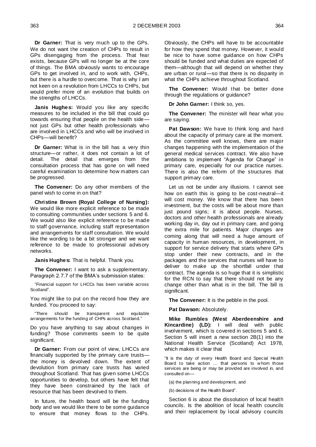**Dr Garner:** That is very much up to the GPs. We do not want the creation of CHPs to result in GPs disengaging from the process. That fear exists, because GPs will no longer be at the core of things. The BMA obviously wants to encourage GPs to get involved in, and to work with, CHPs, but there is a hurdle to overcome. That is why I am not keen on a revolution from LHCCs to CHPs, but would prefer more of an evolution that builds on the strengths of LHCCs.

**Janis Hughes:** Would you like any specific measures to be included in the bill that could go towards ensuring that people on the health side not just GPs but other health professionals who are involved in LHCCs and who will be involved in CHPs—will benefit?

**Dr Garner:** What is in the bill has a very thin structure—or rather, it does not contain a lot of detail. The detail that emerges from the consultation process that has gone on will need careful examination to determine how matters can be progressed.

**The Convener:** Do any other members of the panel wish to come in on that?

**Christine Brown (Royal College of Nursing):** We would like more explicit reference to be made to consulting communities under sections 5 and 6. We would also like explicit reference to be made to staff governance, including staff representation and arrangements for staff consultation. We would like the wording to be a bit stronger and we want reference to be made to professional advisory networks.

**Janis Hughes:** That is helpful. Thank you.

**The Convener:** I want to ask a supplementary. Paragraph 2.7.7 of the BMA's submission states:

―Financial support for LHCCs has been variable across Scotland".

You might like to put on the record how they are funded. You proceed to say:

―There should be transparent and equitable arrangements for the funding of CHPs across Scotland."

Do you have anything to say about changes in funding? Those comments seem to be quite significant.

**Dr Garner:** From our point of view, LHCCs are financially supported by the primary care trusts the money is devolved down. The extent of devolution from primary care trusts has varied throughout Scotland. That has given some LHCCs opportunities to develop, but others have felt that they have been constrained by the lack of resource that has been devolved to them.

In future, the health board will be the funding body and we would like there to be some guidance to ensure that money flows to the CHPs. Obviously, the CHPs will have to be accountable for how they spend that money. However, it would be nice to have some guidance on how CHPs should be funded and what duties are expected of them—although that will depend on whether they are urban or rural—so that there is no disparity in what the CHPs achieve throughout Scotland.

**The Convener:** Would that be better done through the regulations or guidance?

**Dr John Garner:** I think so, yes.

**The Convener:** The minister will hear what you are saying.

**Pat Dawson:** We have to think long and hard about the capacity of primary care at the moment. As the committee well knows, there are major changes happening with the implementation of the general medical services contract. We also have ambitions to implement "Agenda for Change" in primary care, especially for our practice nurses. There is also the reform of the structures that support primary care.

Let us not be under any illusions. I cannot see how on earth this is going to be cost-neutral—it will cost money. We know that there has been investment, but the costs will be about more than just pound signs; it is about people. Nurses, doctors and other health professionals are already working day in, day out in primary care, and going the extra mile for patients. Major changes are coming along that will need a huge amount of capacity in human resources, in development, in support for service delivery that starts where GPs stop under their new contracts, and in the packages and the services that nurses will have to deliver to make up the shortfall under that contract. The agenda is so huge that it is simplistic for the RCN to say that there should not be any change other than what is in the bill. The bill is significant.

**The Convener:** It is the pebble in the pool.

Pat Dawson: Absolutely.

**Mike Rumbles (West Aberdeenshire and Kincardine) (LD):** I will deal with public involvement, which is covered in sections 5 and 6. Section 5 will insert a new section 2B(1) into the National Health Service (Scotland) Act 1978, which makes it clear that

"It is the duty of every Health Board and Special Health Board to take action … that persons to w hom those services are being or may be provided are involved in, and consulted on—

(a) the planning and development, and

(b) decisions of the Health Board".

Section 6 is about the dissolution of local health councils. Is the abolition of local health councils and their replacement by local advisory councils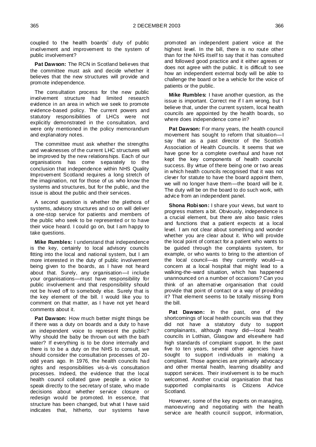coupled to the health boards' duty of public involvement and improvement to the system of public involvement?

**Pat Dawson:** The RCN in Scotland believes that the committee must ask and decide whether it believes that the new structures will provide and promote independence.

The consultation process for the new public involvement structure had limited research evidence in an area in which we seek to promote evidence-based policy. The current powers and statutory responsibilities of LHCs were not explicitly demonstrated in the consultation, and were only mentioned in the policy memorandum and explanatory notes.

The committee must ask whether the strengths and weaknesses of the current LHC structures will be improved by the new relationships. Each of our organisations has come separately to the conclusion that independence within NHS Quality Improvement Scotland requires a long stretch of the imagination, not for those of us who know the systems and structures, but for the public, and the issue is about the public and their services.

A second question is whether the plethora of systems, advisory structures and so on will deliver a one-stop service for patients and members of the public who seek to be represented or to have their voice heard. I could go on, but I am happy to take questions.

**Mike Rumbles:** I understand that independence is the key, certainly to local advisory councils fitting into the local and national system, but I am more interested in the duty of public involvement being given to the boards, as I have not heard about that. Surely, any organisation—I include your organisations—must have responsibility for public involvement and that responsibility should not be hived off to somebody else. Surely that is the key element of the bill. I would like you to comment on that matter, as I have not yet heard comments about it.

**Pat Dawson:** How much better might things be if there was a duty on boards and a duty to have an independent voice to represent the public? Why should the baby be thrown out with the bath water? If everything is to be done internally and there is to be a duty on the NHS to consult, we should consider the consultation processes of 20 odd years ago. In 1976, the health councils had rights and responsibilities vis-à-vis consultation processes. Indeed, the evidence that the local health council collated gave people a voice to speak directly to the secretary of state, who made decisions about whether service closure or redesign would be promoted. In essence, that structure has been changed, but what I have said indicates that, hitherto, our systems have

promoted an independent patient voice at the highest level. In the bill, there is no route other than for the NHS itself to say that it has consulted and followed good practice and it either agrees or does not agree with the public. It is difficult to see how an independent external body will be able to challenge the board or be a vehicle for the voice of patients or the public.

**Mike Rumbles:** I have another question, as the issue is important. Correct me if I am wrong, but I believe that, under the current system, local health councils are appointed by the health boards, so where does independence come in?

**Pat Dawson:** For many years, the health council movement has sought to reform that situation—I say that as a past director of the Scottish Association of Health Councils. It seems that we have gone for a complete overhaul and have not kept the key components of health councils' success. By virtue of there being one or two areas in which health councils recognised that it was not clever for statute to have the board appoint them, we will no longer have them—the board will be it. The duty will be on the board to do such work, with advice from an independent panel.

**Shona Robison:** I share your views, but want to progress matters a bit. Obviously, independence is a crucial element, but there are also basic roles and functions that a patient expects at a local level. I am not clear about something and wonder whether you are clear about it. Who will provide the local point of contact for a patient who wants to be guided through the complaints system, for example, or who wants to bring to the attention of the local council—as they currently would—a concern at a local hospital that might lead to a walking-the-ward situation, which has happened unannounced on a number of occasions? Can you think of an alternative organisation that could provide that point of contact or a way of providing it? That element seems to be totally missing from the bill.

**Pat Dawson:** In the past, one of the shortcomings of local health councils was that they did not have a statutory duty to support complainants, although many did—local health councils in Lothian, Glasgow and elsewhere had high standards of complaint support. In the past five to ten years, several other agencies have sought to support individuals in making a complaint. Those agencies are primarily advocacy and other mental health, learning disability and support services. Their involvement is to be much welcomed. Another crucial organisation that has supported complainants is Citizens Advice Scotland.

However, some of the key experts on managing, manoeuvring and negotiating with the health service are health council support, information,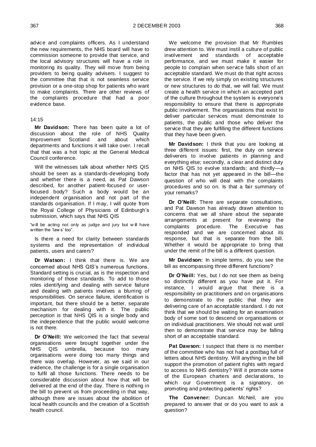advice and complaints officers. As I understand the new requirements, the NHS board will have to commission someone to provide that service, and the local advisory structures will have a role in monitoring its quality. They will move from being providers to being quality advisers. I suggest to the committee that that is not seamless service provision or a one-stop shop for patients who want to make complaints. There are other reviews of the complaints procedure that had a poor evidence base.

### 14:15

**Mr Davidson:** There has been quite a lot of discussion about the role of NHS Quality Improvement Scotland and about which departments and functions it will take over. I recall that that was a hot topic at the General Medical Council conference.

Will the witnesses talk about whether NHS QIS should be seen as a standards-developing body and whether there is a need, as Pat Dawson described, for another patient-focused or userfocused body? Such a body would be an independent organisation and not part of the standards organisation. If I may, I will quote from the Royal College of Physicians of Edinburgh's submission, which says that NHS QIS

"will be acting not only as judge and jury but will have written the 'law s' too".

Is there a need for clarity between standards systems and the representation of individual patients, users and carers?

**Dr Watson:** I think that there is. We are concerned about NHS QIS's numerous functions. Standard setting is crucial, as is the inspection and monitoring of those standards. To add to those roles identifying and dealing with service failure and dealing with patients involves a blurring of responsibilities. On service failure, identification is important, but there should be a better, separate mechanism for dealing with it. The public perception is that NHS QIS is a single body and the independence that the public would welcome is not there.

**Dr O'Neill:** We welcomed the fact that several organisations were brought together under the NHS QIS umbrella, because too many organisations were doing too many things and there was overlap. However, as we said in our evidence, the challenge is for a single organisation to fulfil all those functions. There needs to be considerable discussion about how that will be delivered at the end of the day. There is nothing in the bill to prevent us from proceeding in that way, although there are issues about the abolition of local health councils and the creation of a Scottish health council.

We welcome the provision that Mr Rumbles drew attention to. We must instil a culture of public involvement and standards of acceptable performance, and we must make it easier for people to complain when service falls short of an acceptable standard. We must do that right across the service. If we rely simply on existing structures or new structures to do that, we will fail. We must create a health service in which an accepted part of the culture throughout the system is everyone's responsibility to ensure that there is appropriate public involvement. The organisations that exist to deliver particular services must demonstrate to patients, the public and those who deliver the service that they are fulfilling the different functions that they have been given.

**Mr Davidson:** I think that you are looking at three different issues: first, the duty on service deliverers to involve patients in planning and everything else; secondly, a clear and distinct duty on NHS QIS to evolve standards; and thirdly—a factor that has not yet appeared in the bill—the question of who will deal with the complaints procedures and so on. Is that a fair summary of your remarks?

**Dr O'Neill:** There are separate consultations, and Pat Dawson has already drawn attention to concerns that we all share about the separate arrangements at present for reviewing the complaints procedure. The Executive has responded and we are concerned about its response, but that is separate from the bill. Whether it would be appropriate to bring that under the remit of the bill is a different question.

**Mr Davidson:** In simple terms, do you see the bill as encompassing three different functions?

**Dr O'Neill:** Yes, but I do not see them as being so distinctly different as you have put it. For instance, I would argue that there is a responsibility on practitioners and on organisations to demonstrate to the public that they are delivering care of an acceptable standard. I do not think that we should be waiting for an examination body of some sort to descend on organisations or on individual practitioners. We should not wait until then to demonstrate that service may be falling short of an acceptable standard.

Pat Dawson: I suspect that there is no member of the committee who has not had a postbag full of letters about NHS dentistry. Will anything in the bill support the promotion of patient rights with regard to access to NHS dentistry? Will it promote some of the European charters and declarations, to which our Government is a signatory, on promoting and protecting patients' rights?

**The Convener:** Duncan McNeil, are you prepared to answer that or do you want to ask a question?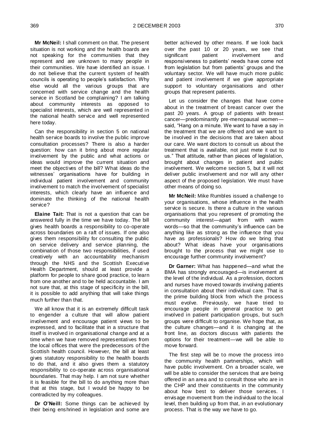**Mr McNeil:** I shall comment on that. The present situation is not working and the health boards are not speaking for the communities that they represent and are unknown to many people in their communities. We have identified an issue. I do not believe that the current system of health councils is operating to people's satisfaction. Why else would all the various groups that are concerned with service change and the health service in Scotland be complaining? I am talking about community interests as opposed to specialist interests, which are well represented in the national health service and well represented here today.

Can the responsibility in section 5 on national health service boards to involve the public improve consultation processes? There is also a harder question: how can it bring about more regular involvement by the public and what actions or ideas would improve the current situation and meet the objectives of the bill? What ideas do the witnesses' organisations have for building in individual patient involvement and community involvement to match the involvement of specialist interests, which clearly have an influence and dominate the thinking of the national health service?

**Elaine Tait:** That is not a question that can be answered fully in the time we have today. The bill gives health boards a responsibility to co-operate across boundaries on a raft of issues. If one also gives them responsibility for consulting the public on service delivery and service planning, the combination of those two responsibilities, if used creatively with an accountability mechanism through the NHS and the Scottish Executive Health Department, should at least provide a platform for people to share good practice, to learn from one another and to be held accountable. I am not sure that, at this stage of specificity in the bill, it is possible to add anything that will take things much further than that.

We all know that it is an extremely difficult task to engender a culture that will allow patient involvement and encourage patient views to be expressed, and to facilitate that in a structure that itself is involved in organisational change and at a time when we have removed representatives from the local offices that were the predecessors of the Scottish health council. However, the bill at least gives statutory responsibility to the health boards to do that, and it also gives them a statutory responsibility to co-operate across organisational boundaries. That may help. I am not sure whether it is feasible for the bill to do anything more than that at this stage, but I would be happy to be contradicted by my colleagues.

**Dr O'Neill:** Some things can be achieved by their being enshrined in legislation and some are better achieved by other means. If we look back over the past 10 or 20 years, we see that significant patient involvement and responsiveness to patients' needs have come not from legislation but from patients' groups and the voluntary sector. We will have much more public and patient involvement if we give appropriate support to voluntary organisations and other groups that represent patients.

Let us consider the changes that have come about in the treatment of breast cancer over the past 20 years. A group of patients with breast cancer—predominantly pre-menopausal women said. "Hang on a minute. We want to have a say in the treatment that we are offered and we want to be involved in the decisions that are taken about our care. We want doctors to consult us about the treatment that is available, not just mete it out to us." That attitude, rather than pieces of legislation, brought about changes in patient and public involvement. We welcome section 5, but it will not deliver public involvement and nor will any other aspect of the proposed legislation. We must have other means of doing so.

**Mr McNeil:** Mike Rumbles issued a challenge to your organisations, whose influence in the health service is secure. Is there a culture in the various organisations that you represent of promoting the community interest—apart from with warm words—so that the community's influence can be anything like as strong as the influence that you have as professionals? How do we bring that about? What ideas have your organisations brought to the process that we might use to encourage further community involvement?

**Dr Garner:** What has happened—and what the BMA has strongly encouraged—is involvement at the level of the individual. As a profession, doctors and nurses have moved towards involving patients in consultation about their individual care. That is the prime building block from which the process must evolve. Previously, we have tried to encourage people in general practice to get involved in patient participation groups, but such groups were difficult to organise. We hope that, as the culture changes—and it is changing at the front line, as doctors discuss with patients the options for their treatment—we will be able to move forward.

The first step will be to move the process into the community health partnerships, which will have public involvement. On a broader scale, we will be able to consider the services that are being offered in an area and to consult those who are in the CHP and their constituents in the community about how best to deliver those services. I envisage movement from the individual to the local level, then building up from that, in an evolutionary process. That is the way we have to go.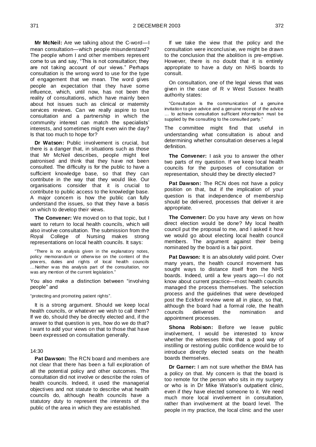**Mr McNeil:** Are we talking about the C-word—I mean consultation—which people misunderstand? The people whom I and other members represent come to us and say, "This is not consultation; they are not taking account of our views." Perhaps consultation is the wrong word to use for the type of engagement that we mean. The word gives people an expectation that they have some influence, which, until now, has not been the reality of consultations, which have mainly been about hot issues such as clinical or maternity services reviews. Can we really aspire to true consultation and a partnership in which the community interest can match the specialists' interests, and sometimes might even win the day? Is that too much to hope for?

**Dr Watson:** Public involvement is crucial, but there is a danger that, in situations such as those that Mr McNeil describes, people might feel patronised and think that they have not been consulted. The difficulty is for the public to have a sufficient knowledge base, so that they can contribute in the way that they would like. Our organisations consider that it is crucial to contribute to public access to the knowledge base. A major concern is how the public can fully understand the issues, so that they have a basis on which to develop their views.

**The Convener:** We moved on to that topic, but I want to return to local health councils, which will also involve consultation. The submission from the Royal College of Nursing makes strong representations on local health councils. It says:

―There is no analysis given in the explanatory notes, policy memorandum or otherw ise on the content of the pow ers, duties and rights of local health councils …Neither w as this analysis part of the consultation, nor was any mention of the current legislation."

You also make a distinction between "involving people" and

"protecting and promoting patient rights".

It is a strong argument. Should we keep local health councils, or whatever we wish to call them? If we do, should they be directly elected and, if the answer to that question is yes, how do we do that? I want to add your views on that to those that have been expressed on consultation generally.

# 14:30

**Pat Dawson:** The RCN board and members are not clear that there has been a full exploration of all the potential policy and other outcomes. The consultation did not involve or describe the roles of health councils. Indeed, it used the managerial objectives and not statute to describe what health councils do, although health councils have a statutory duty to represent the interests of the public of the area in which they are established.

If we take the view that the policy and the consultation were inconclusive, we might be drawn to the conclusion that the abolition is pre-emptive. However, there is no doubt that it is entirely appropriate to have a duty on NHS boards to consult.

On consultation, one of the legal views that was given in the case of R v West Sussex health authority states:

―Consultation is the communication of a genuine invitation to give advice and a genuine receipt of the advice … to achieve consultation sufficient information must be supplied by the consulting to the consulted party."

The committee might find that useful in understanding what consultation is about and determining whether consultation deserves a legal definition.

**The Convener:** I ask you to answer the other two parts of my question. If we keep local health councils for the purposes of consultation or representation, should they be directly elected?

**Pat Dawson:** The RCN does not have a policy position on that, but if the implication of your question is that independence of membership should be delivered, processes that deliver it are appropriate.

**The Convener:** Do you have any views on how direct election would be done? My local health council put the proposal to me, and I asked it how we would go about electing local health council members. The argument against their being nominated by the board is a fair point.

Pat Dawson: It is an absolutely valid point. Over many years, the health council movement has sought ways to distance itself from the NHS boards. Indeed, until a few years ago—I do not know about current practice—most health councils managed the process themselves. The selection process and the guidelines that were developed post the Eckford review were all in place, so that, although the board had a formal role, the health councils delivered the nomination and appointment processes.

**Shona Robison:** Before we leave public involvement, I would be interested to know whether the witnesses think that a good way of instilling or restoring public confidence would be to introduce directly elected seats on the health boards themselves.

**Dr Garner:** I am not sure whether the BMA has a policy on that. My concern is that the board is too remote for the person who sits in my surgery or who is in Dr Mike Watson's outpatient clinic, even if they have elected someone to it. We need much more local involvement in consultation, rather than involvement at the board level. The people in my practice, the local clinic and the user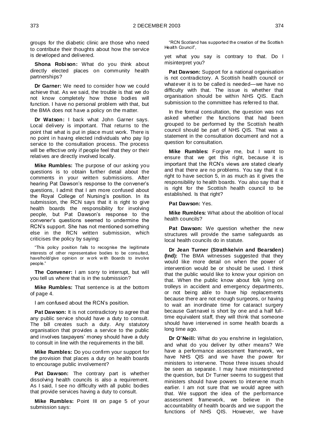groups for the diabetic clinic are those who need to contribute their thoughts about how the service is developed and delivered.

**Shona Robison:** What do you think about directly elected places on community health partnerships?

**Dr Garner:** We need to consider how we could achieve that. As we said, the trouble is that we do not know completely how those bodies will function. I have no personal problem with that, but the BMA does not have a policy on the matter.

**Dr Watson:** I back what John Garner says. Local delivery is important. That returns to the point that what is put in place must work. There is no point in having elected individuals who pay lip service to the consultation process. The process will be effective only if people feel that they or their relatives are directly involved locally.

**Mike Rumbles:** The purpose of our asking you questions is to obtain further detail about the comments in your written submissions. After hearing Pat Dawson's response to the convener's questions, I admit that I am more confused about the Royal College of Nursing's position. In its submission, the RCN says that it is right to give health boards the responsibility for involving people, but Pat Dawson's response to the convener's questions seemed to undermine the RCN's support. She has not mentioned something else in the RCN written submission, which criticises the policy by saying:

―This policy position fails to recognise the legitimate interests of other representative bodies to be consulted, have/hold/give opinion or w ork w ith Boards to involve people."

**The Convener:** I am sorry to interrupt, but will you tell us where that is in the submission?

**Mike Rumbles:** That sentence is at the bottom of page 4.

I am confused about the RCN's position.

**Pat Dawson:** It is not contradictory to agree that any public service should have a duty to consult. The bill creates such a duty. Any statutory organisation that provides a service to the public and involves taxpayers' money should have a duty to consult in line with the requirements in the bill.

**Mike Rumbles:** Do you confirm your support for the provision that places a duty on health boards to encourage public involvement?

**Pat Dawson:** The contrary part is whether dissolving health councils is also a requirement. As I said, I see no difficulty with all public bodies that provide services having a duty to consult.

**Mike Rumbles:** Point III on page 5 of your submission says:

―RCN Scotland has supported the creation of the Scottish Health Council",

yet what you say is contrary to that. Do I misinterpret you?

**Pat Dawson:** Support for a national organisation is not contradictory. A Scottish health council or whatever it is to be called is needed—we have no difficulty with that. The issue is whether that organisation should be within NHS QIS. Each submission to the committee has referred to that.

In the formal consultation, the question was not asked whether the functions that had been grouped to be performed by the Scottish health council should be part of NHS QIS. That was a statement in the consultation document and not a question for consultation.

**Mike Rumbles:** Forgive me, but I want to ensure that we get this right, because it is important that the RCN's views are stated clearly and that there are no problems. You say that it is right to have section 5, in as much as it gives the responsibility to health boards. You also say that it is right for the Scottish health council to be established. Is that right?

**Pat Dawson:** Yes.

**Mike Rumbles:** What about the abolition of local health councils?

**Pat Dawson:** We question whether the new structures will provide the same safeguards as local health councils do in statute.

**Dr Jean Turner (Strathkelvin and Bearsden) (Ind):** The BMA witnesses suggested that they would like more detail on when the power of intervention would be or should be used. I think that the public would like to know your opinion on that. When the public know about folk lying on trolleys in accident and emergency departments, or not being able to have hip replacements because there are not enough surgeons, or having to wait an inordinate time for cataract surgery because Gartnavel is short by one and a half fulltime equivalent staff, they will think that someone should have intervened in some health boards a long time ago.

**Dr O'Neill:** What do you enshrine in legislation, and what do you deliver by other means? We have a performance assessment framework, we have NHS QIS and we have the power for ministers to intervene. Those three issues should be seen as separate. I may have misinterpreted the question, but Dr Turner seems to suggest that ministers should have powers to intervene much earlier. I am not sure that we would agree with that. We support the idea of the performance assessment framework, we believe in the accountability of health boards and we support the functions of NHS QIS. However, we have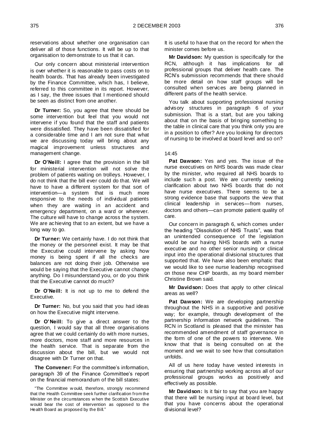reservations about whether one organisation can deliver all of those functions. It will be up to that organisation to demonstrate to us that it can.

Our only concern about ministerial intervention is over whether it is reasonable to pass costs on to health boards. That has already been investigated by the Finance Committee, which has, I believe, referred to this committee in its report. However, as I say, the three issues that I mentioned should be seen as distinct from one another.

**Dr Turner:** So, you agree that there should be some intervention but feel that you would not intervene if you found that the staff and patients were dissatisfied. They have been dissatisfied for a considerable time and I am not sure that what we are discussing today will bring about any magical improvement unless structures and management change.

**Dr O'Neill:** I agree that the provision in the bill for ministerial intervention will not solve the problem of patients waiting on trolleys. However, I do not think that the bill ever could do that. We will have to have a different system for that sort of intervention—a system that is much more responsive to the needs of individual patients when they are waiting in an accident and emergency department, on a ward or wherever. The culture will have to change across the system. We are achieving that to an extent, but we have a long way to go.

**Dr Turner:** We certainly have. I do not think that the money or the personnel exist. It may be that the Executive could intervene by asking how money is being spent if all the checks are balances are not doing their job. Otherwise we would be saying that the Executive cannot change anything. Do I misunderstand you, or do you think that the Executive cannot do much?

**Dr O'Neill:** It is not up to me to defend the Executive.

**Dr Turner:** No, but you said that you had ideas on how the Executive might intervene.

**Dr O'Neill:** To give a direct answer to the question, I would say that all three organisations agree that we could certainly do with more nurses, more doctors, more staff and more resources in the health service. That is separate from the discussion about the bill, but we would not disagree with Dr Turner on that.

**The Convener:** For the committee's information, paragraph 39 of the Finance Committee's report on the financial memorandum of the bill states:

It is useful to have that on the record for when the minister comes before us.

**Mr Davidson:** My question is specifically for the RCN, although it has implications for all professional groups that deliver health care. The RCN's submission recommends that there should be more detail on how staff groups will be consulted when services are being planned in different parts of the health service.

You talk about supporting professional nursing advisory structures in paragraph 6 of your submission. That is a start, but are you talking about that on the basis of bringing something to the table in clinical care that you think only you are in a position to offer? Are you looking for directors of nursing to be involved at board level and so on?

#### 14:45

**Pat Dawson:** Yes and yes. The issue of the nurse executives on NHS boards was made clear by the minister, who required all NHS boards to include such a post. We are currently seeking clarification about two NHS boards that do not have nurse executives. There seems to be a strong evidence base that supports the view that clinical leadership in services—from nurses, doctors and others—can promote patient quality of care.

Our concern in paragraph 6, which comes under the heading "Dissolution of NHS Trusts", was that an unintended consequence of the legislation would be our having NHS boards with a nurse executive and no other senior nursing or clinical input into the operational divisional structures that supported that. We have also been emphatic that we would like to see nurse leadership recognised on those new CHP boards, as my board member Christine Brown said.

**Mr Davidson:** Does that apply to other clinical areas as well?

**Pat Dawson:** We are developing partnership throughout the NHS in a supportive and positive way; for example, through development of the partnership information network guidelines. The RCN in Scotland is pleased that the minister has recommended amendment of staff governance in the form of one of the powers to intervene. We know that that is being consulted on at the moment and we wait to see how that consultation unfolds.

All of us here today have vested interests in ensuring that partnership working across all of our professional groups works as positively and effectively as possible.

**Mr Davidson:** Is it fair to say that you are happy that there will be nursing input at board level, but that you have concerns about the operational divisional level?

<sup>&</sup>quot;The Committee would, therefore, strongly recommend that the Health Committee seek further clarification from the Minister on the circumstances w hen the Scottish Executive would bear the cost of intervention as opposed to the Health Board as proposed by the Bill."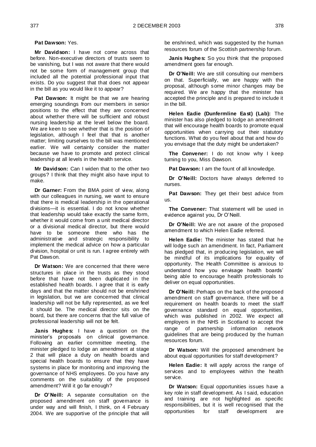**Pat Dawson:** Yes.

**Mr Davidson:** I have not come across that before. Non-executive directors of trusts seem to be vanishing, but I was not aware that there would not be some form of management group that included all the potential professional input that exists. Do you suggest that that does not appear in the bill as you would like it to appear?

**Pat Dawson:** It might be that we are hearing emerging soundings from our members in senior positions to the effect that they are concerned about whether there will be sufficient and robust nursing leadership at the level below the board. We are keen to see whether that is the position of legislation, although I feel that that is another matter; limiting ourselves to the bill was mentioned earlier. We will certainly consider the matter because we have to promote and protect clinical leadership at all levels in the health service.

**Mr Davidson:** Can I widen that to the other two groups? I think that they might also have input to make.

**Dr Garner:** From the BMA point of view, along with our colleagues in nursing, we want to ensure that there is medical leadership in the operational divisions—it is essential. I do not know whether that leadership would take exactly the same form, whether it would come from a unit medical director or a divisional medical director, but there would have to be someone there who has the administrative and strategic responsibility to implement the medical advice on how a particular division, hospital or unit is run. I agree entirely with Pat Dawson.

**Dr Watson:** We are concerned that there were structures in place in the trusts as they stood before that have not been duplicated in the established health boards. I agree that it is early days and that the matter should not be enshrined in legislation, but we are concerned that clinical leadership will not be fully represented, as we feel it should be. The medical director sits on the board, but there are concerns that the full value of professional leadership will not be felt.

**Janis Hughes:** I have a question on the minister's proposals on clinical governance. Following an earlier committee meeting, the minister pledged to lodge an amendment at stage 2 that will place a duty on health boards and special health boards to ensure that they have systems in place for monitoring and improving the governance of NHS employees. Do you have any comments on the suitability of the proposed amendment? Will it go far enough?

**Dr O'Neill:** A separate consultation on the proposed amendment on staff governance is under way and will finish, I think, on 4 February 2004. We are supportive of the principle that will be enshrined, which was suggested by the human resources forum of the Scottish partnership forum.

**Janis Hughes:** So you think that the proposed amendment goes far enough.

**Dr O'Neill:** We are still consulting our members on that. Superficially, we are happy with the proposal, although some minor changes may be required. We are happy that the minister has accepted the principle and is prepared to include it in the bill.

**Helen Eadie (Dunfermline East) (Lab):** The minister has also pledged to lodge an amendment that will encourage health boards to promote equal opportunities when carrying out their statutory functions. What do you feel about that and how do you envisage that the duty might be undertaken?

**The Convener:** I do not know why I keep turning to you, Miss Dawson.

**Pat Dawson:** I am the fount of all knowledge.

**Dr O'Neill:** Doctors have always deferred to nurses.

Pat Dawson: They get their best advice from us.

**The Convener:** That statement will be used in evidence against you, Dr O'Neill.

**Dr O'Neill:** We are not aware of the proposed amendment to which Helen Eadie referred.

**Helen Eadie:** The minister has stated that he will lodge such an amendment. In fact, Parliament has pledged that, in producing legislation, we will be mindful of its implications for equality of opportunity. The Health Committee is anxious to understand how you envisage health boards' being able to encourage health professionals to deliver on equal opportunities.

**Dr O'Neill:** Perhaps on the back of the proposed amendment on staff governance, there will be a requirement on health boards to meet the staff governance standard on equal opportunities, which was published in 2002. We expect all employers in the NHS in Scotland to accept the range of partnership information network guidelines that are being produced by the human resources forum.

**Dr Watson:** Will the proposed amendment be about equal opportunities for staff development?

**Helen Eadie:** It will apply across the range of services and to employees within the health service.

**Dr Watson:** Equal opportunities issues have a key role in staff development. As I said, education and training are not highlighted as specific responsibilities, but it is well recognised that the opportunities for staff development are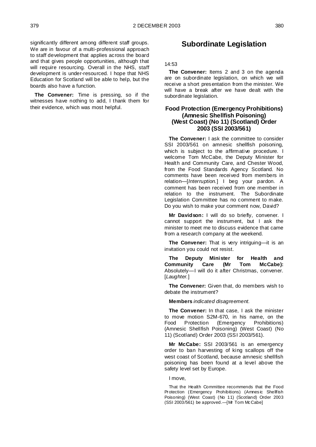significantly different among different staff groups. We are in favour of a multi-professional approach to staff development that applies across the board and that gives people opportunities, although that will require resourcing. Overall in the NHS, staff development is under-resourced. I hope that NHS Education for Scotland will be able to help, but the boards also have a function.

**The Convener:** Time is pressing, so if the witnesses have nothing to add, I thank them for their evidence, which was most helpful.

# **Subordinate Legislation**

14:53

**The Convener:** Items 2 and 3 on the agenda are on subordinate legislation, on which we will receive a short presentation from the minister. We will have a break after we have dealt with the subordinate legislation.

# **Food Protection (Emergency Prohibitions) (Amnesic Shellfish Poisoning) (West Coast) (No 11) (Scotland) Order 2003 (SSI 2003/561)**

**The Convener:** I ask the committee to consider SSI 2003/561 on amnesic shellfish poisoning, which is subject to the affirmative procedure. I welcome Tom McCabe, the Deputy Minister for Health and Community Care, and Chester Wood, from the Food Standards Agency Scotland. No comments have been received from members in relation—[*Interruption.*] I beg your pardon. A comment has been received from one member in relation to the instrument. The Subordinate Legislation Committee has no comment to make. Do you wish to make your comment now, David?

**Mr Davidson:** I will do so briefly, convener. I cannot support the instrument, but I ask the minister to meet me to discuss evidence that came from a research company at the weekend.

**The Convener:** That is very intriguing—it is an invitation you could not resist.

**The Deputy Minister for Health and Community Care (Mr Tom McCabe):**  Absolutely—I will do it after Christmas, convener. [*Laughter.*]

**The Convener:** Given that, do members wish to debate the instrument?

#### **Members** *indicated disagreement.*

**The Convener:** In that case, I ask the minister to move motion S2M-670, in his name, on the Food Protection (Emergency Prohibitions) (Amnesic Shellfish Poisoning) (West Coast) (No 11) (Scotland) Order 2003 (SSI 2003/561).

**Mr McCabe:** SSI 2003/561 is an emergency order to ban harvesting of king scallops off the west coast of Scotland, because amnesic shellfish poisoning has been found at a level above the safety level set by Europe.

#### I move,

That the Health Committee recommends that the Food Protection (Emergency Prohibitions) (Amnesic Shellfish Poisoning) (West Coast) (No 11) (Scotland) Order 2003 (SSI 2003/561) be approved.—[Mr Tom McCabe]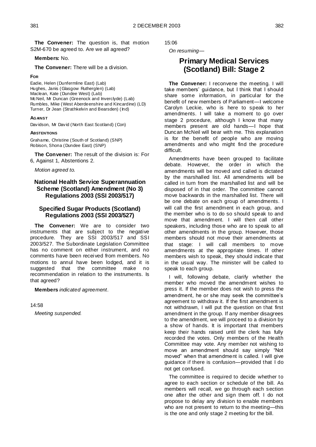**The Convener:** The question is, that motion S2M-670 be agreed to. Are we all agreed?

# **Members:** No.

**The Convener:** There will be a division.

### **FOR**

Eadie, Helen (Dunfermline East) (Lab) Hughes, Janis (Glasgow Rutherglen) (Lab) Maclean, Kate (Dundee West) (Lab) McNeil, Mr Duncan (Greenock and Inverclyde) (Lab) Rumbles, Mike (West Aberdeenshire and Kincardine) (LD) Turner, Dr Jean (Strathkelvin and Bearsden) (Ind)

## **AGAINST**

Davidson, Mr David (North East Scotland) (Con)

## **ABSTENTIONS**

Grahame, Christine (South of Scotland) (SNP) Robison, Shona (Dundee East) (SNP)

**The Convener:** The result of the division is: For 6, Against 1, Abstentions 2.

*Motion agreed to.*

# **National Health Service Superannuation Scheme (Scotland) Amendment (No 3) Regulations 2003 (SSI 2003/517)**

# **Specified Sugar Products (Scotland) Regulations 2003 (SSI 2003/527)**

**The Convener:** We are to consider two instruments that are subject to the negative procedure. They are SSI 2003/517 and SSI 2003/527. The Subordinate Legislation Committee has no comment on either instrument, and no comments have been received from members. No motions to annul have been lodged, and it is<br>suggested that the committee make no suggested that the committee make no recommendation in relation to the instruments. Is that agreed?

**Members** *indicated agreement*.

14:58

*Meeting suspended.*

15:06

*On resuming—*

# **Primary Medical Services (Scotland) Bill: Stage 2**

**The Convener:** I reconvene the meeting. I will take members' guidance, but I think that I should share some information, in particular for the benefit of new members of Parliament—I welcome Carolyn Leckie, who is here to speak to her amendments. I will take a moment to go over stage 2 procedure, although I know that many members present are old hands—I hope that Duncan McNeil will bear with me. This explanation is for the benefit of people who are moving amendments and who might find the procedure difficult.

Amendments have been grouped to facilitate debate. However, the order in which the amendments will be moved and called is dictated by the marshalled list. All amendments will be called in turn from the marshalled list and will be disposed of in that order. The committee cannot move backwards in the marshalled list. There will be one debate on each group of amendments. I will call the first amendment in each group, and the member who is to do so should speak to and move that amendment. I will then call other speakers, including those who are to speak to all other amendments in the group. However, those members should not move their amendments at that stage: I will call members to move amendments at the appropriate times. If other members wish to speak, they should indicate that in the usual way. The minister will be called to speak to each group.

I will, following debate, clarify whether the member who moved the amendment wishes to press it. If the member does not wish to press the amendment, he or she may seek the committee's agreement to withdraw it. If the first amendment is not withdrawn, I will put the question on that first amendment in the group. If any member disagrees to the amendment, we will proceed to a division by a show of hands. It is important that members keep their hands raised until the clerk has fully recorded the votes. Only members of the Health Committee may vote. Any member not wishing to move an amendment should say simply "Not moved" when that amendment is called. I will give guidance if there is confusion—provided that I do not get confused.

The committee is required to decide whether to agree to each section or schedule of the bill. As members will recall, we go through each section one after the other and sign them off. I do not propose to delay any division to enable members who are not present to return to the meeting—this is the one and only stage 2 meeting for the bill.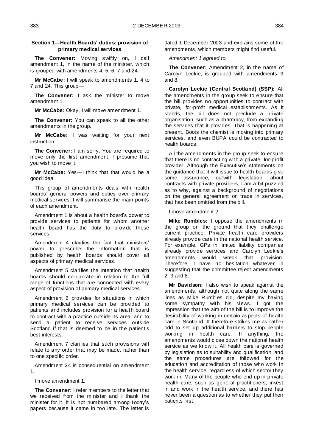# **Section 1—Health Boards' duties: provision of primary medical services**

**The Convener:** Moving swiftly on, I call amendment 1, in the name of the minister, which is grouped with amendments 4, 5, 6, 7 and 24.

**Mr McCabe:** I will speak to amendments 1, 4 to 7 and 24. This group—

**The Convener:** I ask the minister to move amendment 1.

**Mr McCabe:** Okay, I will move amendment 1.

**The Convener:** You can speak to all the other amendments in the group.

**Mr McCabe:** I was waiting for your next instruction.

**The Convener:** I am sorry. You are required to move only the first amendment. I presume that you wish to move it.

**Mr McCabe:** Yes—I think that that would be a good idea.

This group of amendments deals with health boards' general powers and duties over primary medical services. I will summarise the main points of each amendment.

Amendment 1 is about a health board's power to provide services to patients for whom another health board has the duty to provide those services.

Amendment 4 clarifies the fact that ministers' power to prescribe the information that is published by health boards should cover all aspects of primary medical services.

Amendment 5 clarifies the intention that health boards should co-operate in relation to the full range of functions that are connected with every aspect of provision of primary medical services.

Amendment 6 provides for situations in which primary medical services can be provided to patients and includes provision for a health board to contract with a practice outside its area, and to send a patient to receive services outside Scotland if that is deemed to be in the patient's best interests.

Amendment 7 clarifies that such provisions will relate to any order that may be made, rather than to one specific order.

Amendment 24 is consequential on amendment 1.

I move amendment 1.

**The Convener:** I refer members to the letter that we received from the minister and I thank the minister for it. It is not numbered among today's papers because it came in too late. The letter is dated 1 December 2003 and explains some of the amendments, which members might find useful.

*Amendment 1 agreed to.*

**The Convener:** Amendment 2, in the name of Carolyn Leckie, is grouped with amendments 3 and 8.

**Carolyn Leckie (Central Scotland) (SSP):** All the amendments in the group seek to ensure that the bill provides no opportunities to contract with private, for-profit medical establishments. As it stands, the bill does not preclude a private organisation, such as a pharmacy, from expanding the services that it provides. That is happening at present. Boots the chemist is moving into primary services, and even BUPA could be contracted to health boards.

All the amendments in the group seek to ensure that there is no contracting with a private, for-profit provider. Although the Executive's statements on the guidance that it will issue to health boards give some assurance, outwith legislation, about contracts with private providers, I am a bit puzzled as to why, against a background of negotiations on the general agreement on trade in services, that has been omitted from the bill.

I move amendment 2.

**Mike Rumbles:** I oppose the amendments in the group on the ground that they challenge current practice. Private health care providers already provide care in the national health service. For example, GPs in limited liability companies already provide services and Carolyn Leckie's amendments would wreck that provision. Therefore, I have no hesitation whatever in suggesting that the committee reject amendments 2, 3 and 8.

**Mr Davidson:** I also wish to speak against the amendments, although not quite along the same lines as Mike Rumbles did, despite my having some sympathy with his views. I got the impression that the aim of the bill is to improve the desirability of working in certain aspects of health care in Scotland. It therefore strikes me as rather odd to set up additional barriers to stop people working in health care. If anything, the amendments would close down the national health service as we know it. All health care is governed by legislation as to suitability and qualification, and the same procedures are followed for the education and accreditation of those who work in the health service, regardless of which sector they work in. Many of the people who end up in private health care, such as general practitioners, invest in and work in the health service, and there has never been a question as to whether they put their patients first.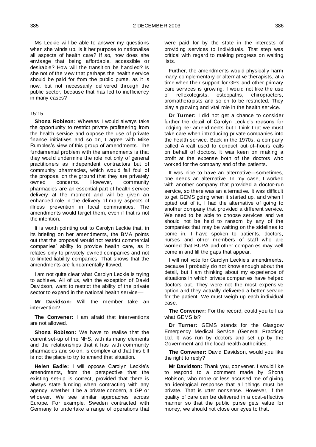Ms Leckie will be able to answer my questions when she winds up. Is it her purpose to nationalise all aspects of health care? If so, how does she envisage that being affordable, accessible or desirable? How will the transition be handled? Is she not of the view that perhaps the health service should be paid for from the public purse, as it is now, but not necessarily delivered through the public sector, because that has led to inefficiency in many cases?

### 15:15

**Shona Robison:** Whereas I would always take the opportunity to restrict private profiteering from the health service and oppose the use of private finance initiatives and so on, I agree with Mike Rumbles's view of this group of amendments. The fundamental problem with the amendments is that they would undermine the role not only of general practitioners as independent contractors but of community pharmacies, which would fall foul of the proposal on the ground that they are privately owned concerns. However, community pharmacies are an essential part of health service delivery at the moment and will be given an enhanced role in the delivery of many aspects of illness prevention in local communities. The amendments would target them, even if that is not the intention.

It is worth pointing out to Carolyn Leckie that, in its briefing on her amendments, the BMA points out that the proposal would not restrict commercial companies' ability to provide health care, as it relates only to privately owned companies and not to limited liability companies. That shows that the amendments are fundamentally flawed.

I am not quite clear what Carolyn Leckie is trying to achieve. All of us, with the exception of David Davidson, want to restrict the ability of the private sector to expand in the national health service-

**Mr Davidson:** Will the member take an intervention?

**The Convener:** I am afraid that interventions are not allowed.

**Shona Robison:** We have to realise that the current set-up of the NHS, with its many elements and the relationships that it has with community pharmacies and so on, is complex and that this bill is not the place to try to amend that situation.

**Helen Eadie:** I will oppose Carolyn Leckie's amendments, from the perspective that the existing set-up is correct, provided that there is always state funding when contracting with any agency, whether it be a private concern, a GP or whoever. We see similar approaches across Europe. For example, Sweden contracted with Germany to undertake a range of operations that were paid for by the state in the interests of providing services to individuals. That step was critical with regard to making progress on waiting lists.

Further, the amendments would physically harm many complementary or alternative therapists, at a time when their support for GPs and other primary care services is growing. I would not like the use of reflexologists, osteopaths, chiropractors, aromatherapists and so on to be restricted. They play a growing and vital role in the health service.

**Dr Turner:** I did not get a chance to consider further the detail of Carolyn Leckie's reasons for lodging her amendments but I think that we must take care when introducing private companies into the health service. Back in the 1970s, a company called Aircall used to conduct out-of–hours calls on behalf of doctors. It was keen on making a profit at the expense both of the doctors who worked for the company and of the patients.

It was nice to have an alternative—sometimes, one needs an alternative. In my case, I worked with another company that provided a doctor-run service, so there was an alternative. It was difficult to get GEMS going when it started up, and when I opted out of it, I had the alternative of going to another company that provided a different service. We need to be able to choose services and we should not be held to ransom by any of the companies that may be waiting on the sidelines to come in. I have spoken to patients, doctors, nurses and other members of staff who are worried that BUPA and other companies may well come in and fill the gaps that appear.

I will not vote for Carolyn Leckie's amendments, because I probably do not know enough about the detail, but I am thinking about my experience of situations in which private companies have helped doctors out. They were not the most expensive option and they actually delivered a better service for the patient. We must weigh up each individual case.

**The Convener:** For the record, could you tell us what GEMS is?

**Dr Turner:** GEMS stands for the Glasgow Emergency Medical Service (General Practice) Ltd. It was run by doctors and set up by the Government and the local health authorities.

**The Convener:** David Davidson, would you like the right to reply?

**Mr Davidson:** Thank you, convener. I would like to respond to a comment made by Shona Robison, who more or less accused me of giving an ideological response that all things must be private. That is utter nonsense. However, if the quality of care can be delivered in a cost-effective manner so that the public purse gets value for money, we should not close our eyes to that.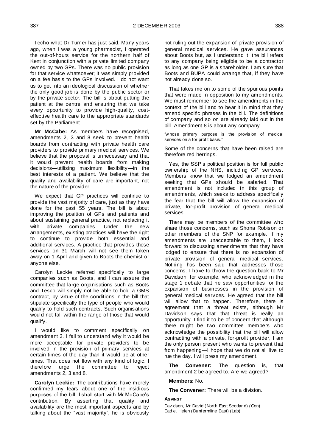I echo what Dr Turner has just said. Many years ago, when I was a young pharmacist, I operated the out-of-hours service for the northern half of Kent in conjunction with a private limited company owned by two GPs. There was no public provision for that service whatsoever; it was simply provided on a fee basis to the GPs involved. I do not want us to get into an ideological discussion of whether the only good job is done by the public sector or by the private sector. The bill is about putting the patient at the centre and ensuring that we take every opportunity to provide high-quality, costeffective health care to the appropriate standards set by the Parliament.

**Mr McCabe:** As members have recognised, amendments 2, 3 and 8 seek to prevent health boards from contracting with private health care providers to provide primary medical services. We believe that the proposal is unnecessary and that it would prevent health boards from making decisions—utilising maximum flexibility—in the best interests of a patient. We believe that the quality and availability of care are important, not the nature of the provider.

We expect that GP practices will continue to provide the vast majority of care, just as they have done for the past 55 years. The bill is about improving the position of GPs and patients and about sustaining general practice, not replacing it with private companies. Under the new arrangements, existing practices will have the right to continue to provide both essential and additional services. A practice that provides those services on 31 March will not see them taken away on 1 April and given to Boots the chemist or anyone else.

Carolyn Leckie referred specifically to large companies such as Boots, and I can assure the committee that large organisations such as Boots and Tesco will simply not be able to hold a GMS contract, by virtue of the conditions in the bill that stipulate specifically the type of people who would qualify to hold such contracts. Such organisations would not fall within the range of those that would qualify.

I would like to comment specifically on amendment 3. I fail to understand why it would be more acceptable for private providers to be involved in the provision of primary services at certain times of the day than it would be at other times. That does not flow with any kind of logic. I therefore urge the committee to reject amendments 2, 3 and 8.

**Carolyn Leckie:** The contributions have merely confirmed my fears about one of the insidious purposes of the bill. I shall start with Mr McCabe's contribution. By asserting that quality and availability are the most important aspects and by talking about the "vast majority", he is obviously not ruling out the expansion of private provision of general medical services. He gave assurances about Boots but, as I understand it, the bill refers to any company being eligible to be a contractor as long as one GP is a shareholder. I am sure that Boots and BUPA could arrange that, if they have not already done so.

That takes me on to some of the spurious points that were made in opposition to my amendments. We must remember to see the amendments in the context of the bill and to bear it in mind that they amend specific phrases in the bill. The definitions of company and so on are already laid out in the bill. Amendment 8 is about any company

"whose primary purpose is the provision of medical services on a for profit basis."

Some of the concerns that have been raised are therefore red herrings.

Yes, the SSP's political position is for full public ownership of the NHS, including GP services. Members know that we lodged an amendment seeking that GPs should be salaried. That amendment is not included in this group of amendments, which seeks to address specifically the fear that the bill will allow the expansion of private, for-profit provision of general medical services.

There may be members of the committee who share those concerns, such as Shona Robison or other members of the SNP for example. If my amendments are unacceptable to them, l look forward to discussing amendments that they have lodged to ensure that there is no expansion of private provision of general medical services. Nothing has been said that addresses those concerns. I have to throw the question back to Mr Davidson, for example, who acknowledged in the stage 1 debate that he saw opportunities for the expansion of businesses in the provision of general medical services. He agreed that the bill will allow that to happen. Therefore, there is agreement that a threat exists, although Mr Davidson says that that threat is really an opportunity. I find it to be of concern that although there might be two committee members who acknowledge the possibility that the bill will allow contracting with a private, for-profit provider, I am the only person present who wants to prevent that from happening—I hope that we do not all live to rue the day. I will press my amendment.

**The Convener:** The question is, that amendment 2 be agreed to. Are we agreed?

**Members:** No.

**The Convener:** There will be a division.

#### **AGAINST**

Davidson, Mr David (North East Scotland) (Con) Eadie, Helen (Dunfermline East) (Lab)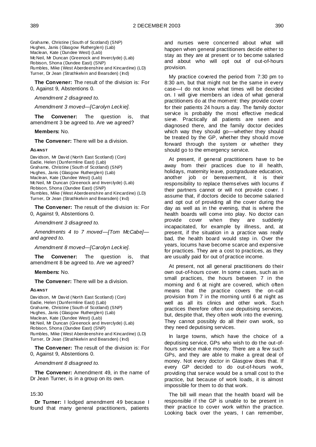Grahame, Christine (South of Scotland) (SNP) Hughes, Janis (Glasgow Rutherglen) (Lab) Maclean, Kate (Dundee West) (Lab) McNeil, Mr Duncan (Greenock and Inverclyde) (Lab) Robison, Shona (Dundee East) (SNP) Rumbles, Mike (West Aberdeenshire and Kincardine) (LD) Turner, Dr Jean (Strathkelvin and Bearsden) (Ind)

**The Convener:** The result of the division is: For 0, Against 9, Abstentions 0.

#### *Amendment 2 disagreed to.*

*Amendment 3 moved—[Carolyn Leckie].*

**The Convener:** The question is, that amendment 3 be agreed to. Are we agreed?

**Members:** No.

**The Convener:** There will be a division.

#### **AGAINST**

Davidson, Mr David (North East Scotland) (Con) Eadie, Helen (Dunfermline East) (Lab) Grahame, Christine (South of Scotland) (SNP) Hughes, Janis (Glasgow Rutherglen) (Lab) Maclean, Kate (Dundee West) (Lab) McNeil, Mr Duncan (Greenock and Inverclyde) (Lab) Robison, Shona (Dundee East) (SNP) Rumbles, Mike (West Aberdeenshire and Kincardine) (LD) Turner, Dr Jean (Strathkelvin and Bearsden) (Ind)

**The Convener:** The result of the division is: For 0, Against 9, Abstentions 0.

*Amendment 3 disagreed to.*

*Amendments 4 to 7 moved—[Tom McCabe] and agreed to.*

*Amendment 8 moved—[Carolyn Leckie].*

**The Convener:** The question is, that amendment 8 be agreed to. Are we agreed?

**Members:** No.

**The Convener:** There will be a division.

#### **AGAINST**

Davidson, Mr David (North East Scotland) (Con) Eadie, Helen (Dunfermline East) (Lab) Grahame, Christine (South of Scotland) (SNP) Hughes, Janis (Glasgow Rutherglen) (Lab) Maclean, Kate (Dundee West) (Lab) McNeil, Mr Duncan (Greenock and Inverclyde) (Lab) Robison, Shona (Dundee East) (SNP) Rumbles, Mike (West Aberdeenshire and Kincardine) (LD) Turner, Dr Jean (Strathkelvin and Bearsden) (Ind)

**The Convener:** The result of the division is: For 0, Against 9, Abstentions 0.

*Amendment 8 disagreed to.*

**The Convener:** Amendment 49, in the name of Dr Jean Turner, is in a group on its own.

#### 15:30

**Dr Turner:** I lodged amendment 49 because I found that many general practitioners, patients

and nurses were concerned about what will happen when general practitioners decide either to stay as they are at present or to become salaried and about who will opt out of out-of-hours provision.

My practice covered the period from 7:30 pm to 8:30 am, but that might not be the same in every case—I do not know what times will be decided on. I will give members an idea of what general practitioners do at the moment: they provide cover for their patients 24 hours a day. The family doctor service is probably the most effective medical sieve. Practically all patients are seen and diagnosed there, and the family doctor decides which way they should go—whether they should be treated by the GP, whether they should move forward through the system or whether they should go to the emergency service.

At present, if general practitioners have to be away from their practices due to ill health, holidays, maternity leave, postgraduate education, another job or bereavement, it is their responsibility to replace themselves with locums if their partners cannot or will not provide cover. I assume that, if doctors decide to become salaried and opt out of providing all the cover during the day as well as in the evening, that is where the health boards will come into play. No doctor can provide cover when they are suddenly incapacitated, for example by illness, and, at present, if the situation in a practice was really bad, the health board would step in. Over the years, locums have become scarce and expensive for practices. They are a cost to practices, as they are usually paid for out of practice income.

At present, not all general practitioners do their own out-of-hours cover. In some cases, such as in small practices, the hours between 7 in the morning and 6 at night are covered, which often means that the practice covers the on-call provision from 7 in the morning until 6 at night as well as all its clinics and other work. Such practices therefore often use deputising services, but, despite that, they often work into the evening. They cannot possibly do all their own work, so they need deputising services.

In large towns, which have the choice of a deputising service, GPs who wish to do the out-ofhours service make money. There are a few such GPs, and they are able to make a great deal of money. Not every doctor in Glasgow does that. If every GP decided to do out-of-hours work, providing that service would be a small cost to the practice, but because of work loads, it is almost impossible for them to do that work.

The bill will mean that the health board will be responsible if the GP is unable to be present in their practice to cover work within the practice. Looking back over the years, I can remember,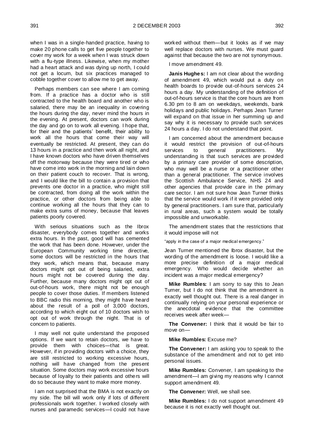when I was in a single-handed practice, having to make 20 phone calls to get five people together to cover my work for a week when I was struck down with a flu-type illness. Likewise, when my mother had a heart attack and was dying up north, I could not get a locum, but six practices managed to cobble together cover to allow me to get away.

Perhaps members can see where I am coming from. If a practice has a doctor who is still contracted to the health board and another who is salaried, there may be an inequality in covering the hours during the day, never mind the hours in the evening. At present, doctors can work during the day and go on to work all evening. I hope that, for their and the patients' benefit, their ability to work all the hours that come their way will eventually be restricted. At present, they can do 13 hours in a practice and then work all night, and I have known doctors who have driven themselves off the motorway because they were tired or who have come into work in the morning and lain down on their patient couch to recover. That is wrong, and I would like the bill to contain a provision that prevents one doctor in a practice, who might still be contracted, from doing all the work within the practice, or other doctors from being able to continue working all the hours that they can to make extra sums of money, because that leaves patients poorly covered.

With serious situations such as the Ibrox disaster, everybody comes together and works extra hours. In the past, good will has cemented the work that has been done. However, under the European Community working time directive, some doctors will be restricted in the hours that they work, which means that, because many doctors might opt out of being salaried, extra hours might not be covered during the day. Further, because many doctors might opt out of out-of-hours work, there might not be enough people to cover those duties. If members listened to BBC radio this morning, they might have heard about the result of a poll of 3,000 doctors, according to which eight out of 10 doctors wish to opt out of work through the night. That is of concern to patients.

I may well not quite understand the proposed options. If we want to retain doctors, we have to provide them with choices—that is great. However, if in providing doctors with a choice, they are still restricted to working excessive hours, nothing will have changed from the present situation. Some doctors may work excessive hours because of loyalty to their patients and others will do so because they want to make more money.

I am not surprised that the BMA is not exactly on my side. The bill will work only if lots of different professionals work together. I worked closely with nurses and paramedic services—I could not have

worked without them—but it looks as if we may well replace doctors with nurses. We must guard against that because the two are not synonymous.

I move amendment 49.

**Janis Hughes:** I am not clear about the wording of amendment 49, which would put a duty on health boards to provide out-of-hours services 24 hours a day. My understanding of the definition of out-of-hours service is that the core hours are from 6.30 pm to 8 am on weekdays, weekends, bank holidays and public holidays. Perhaps Jean Turner will expand on that issue in her summing up and say why it is necessary to provide such services 24 hours a day. I do not understand that point.

I am concerned about the amendment because it would restrict the provision of out-of-hours services to general practitioners. understanding is that such services are provided by a primary care provider of some description, who may well be a nurse or a practitioner other than a general practitioner. The service involves the Scottish Ambulance Service, NHS 24 and other agencies that provide care in the primary care sector. I am not sure how Jean Turner thinks that the service would work if it were provided only by general practitioners. I am sure that, particularly in rural areas, such a system would be totally impossible and unworkable.

The amendment states that the restrictions that it would impose will not

"apply in the case of a major medical emergency."

Jean Turner mentioned the Ibrox disaster, but the wording of the amendment is loose. I would like a more precise definition of a major medical emergency. Who would decide whether an incident was a major medical emergency?

**Mike Rumbles:** I am sorry to say this to Jean Turner, but I do not think that the amendment is exactly well thought out. There is a real danger in continually relying on your personal experience or the anecdotal evidence that the committee receives week after week—

**The Convener:** I think that it would be fair to move on—

**Mike Rumbles:** Excuse me?

**The Convener:** I am asking you to speak to the substance of the amendment and not to get into personal issues.

**Mike Rumbles:** Convener, I am speaking to the amendment—I am giving my reasons why I cannot support amendment 49.

**The Convener:** Well, we shall see.

**Mike Rumbles:** I do not support amendment 49 because it is not exactly well thought out.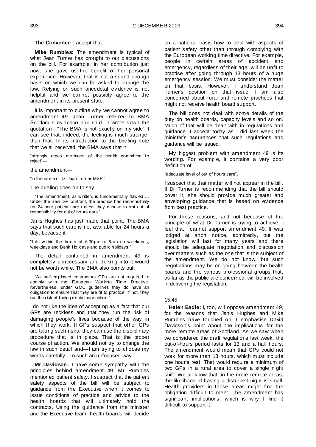**The Convener:** I accept that.

**Mike Rumbles:** The amendment is typical of what Jean Turner has brought to our discussions on the bill. For example, in her contribution just now, she gave us the benefit of her personal experience. However, that is not a sound enough basis on which we can be asked to change the law. Relying on such anecdotal evidence is not helpful and we cannot possibly agree to the amendment in its present state.

It is important to outline why we cannot agree to amendment 49. Jean Turner referred to BMA Scotland's evidence and said—I wrote down the quotation—"The BMA is not exactly on my side". I can see that; indeed, the feeling is much stronger than that. In its introduction to the briefing note that we all received, the BMA says that it

―strongly urges members of the health committee to reject"-

the amendment—

"in the name of Dr Jean Turner MSP."

The briefing goes on to say:

"The amendment, as w ritten, is fundamentally flaw ed ... Under the new GP contract, the practice has responsibility for 24 hour patient care unless they choose to opt out of responsibility for out of hours care."

Janis Hughes has just made that point. The BMA says that such care is not available for 24 hours a day, because it

―falls w ithin the hours of 6.30pm to 8am on w eekends, weekdays and Bank Holidays and public holidays."

The detail contained in amendment 49 is completely unnecessary and delving into it would not be worth while. The BMA also points out:

―As self-employed contractors GPs are not required to comply w ith the European Working Time Directive. Nevertheless, under GMC guidelines they do have an obligation to ensure that they are fit to practice. If not, they run the risk of facing disciplinary action.'

I do not like the idea of accepting as a fact that our GPs are reckless and that they run the risk of damaging people's lives because of the way in which they work. If GPs suspect that other GPs are taking such risks, they can use the disciplinary procedure that is in place. That is the proper course of action. We should not try to change the law in such detail and—I am trying to choose my words carefully—in such an unfocused way.

**Mr Davidson:** I have some sympathy with the principles behind amendment 49. Mr Rumbles mentioned patient safety. I suspect that the patient safety aspects of the bill will be subject to guidance from the Executive when it comes to issue conditions of practice and advice to the health boards that will ultimately hold the contracts. Using the guidance from the minister and the Executive team, health boards will decide

on a national basis how to deal with aspects of patient safety other than through complying with the European working time directive. For example, people in certain areas of accident and emergency, regardless of their age, will be unfit to practise after going through 13 hours of a huge emergency session. We must consider the matter on that basis. However, I understand Jean Turner's position on that issue. I am also concerned about rural and remote practices that might not receive health board support.

The bill does not deal with some details of the duty on health boards, capacity levels and so on. Much of that will be dealt with in regulations and guidance. I accept today as I did last week the minister's assurances that such regulations and guidance will be issued.

My biggest problem with amendment 49 is its wording. For example, it contains a very poor definition of

"adequate level of out of hours care".

I suspect that that matter will not appear in the bill. If Dr Turner is recommending that the bill should cover it, she should provide much greater and enveloping guidance that is based on evidence from best practice.

For those reasons, and not because of the principle of what Dr Turner is trying to achieve, I feel that I cannot support amendment 49. It was lodged at short notice, admittedly, but the legislation will last for many years and there should be adequate negotiation and discussion over matters such as the one that is the subject of the amendment. We do not know, but such negotiations may be on-going between the health boards and the various professional groups that, as far as the public are concerned, will be involved in delivering the legislation.

### 15:45

**Helen Eadie:** I, too, will oppose amendment 49, for the reasons that Janis Hughes and Mike Rumbles have touched on. I emphasise David Davidson's point about the implications for the more remote areas of Scotland. As we saw when we considered the draft regulations last week, the out-of-hours period lasts for 13 and a half hours. The amendment would mean that GPs could not work for more than 13 hours, which must include one hour's rest. That would require a minimum of two GPs in a rural area to cover a single night shift. We all know that, in the more remote areas, the likelihood of having a disturbed night is small. Health providers in those areas might find the obligation difficult to meet. The amendment has significant implications, which is why I find it difficult to support it.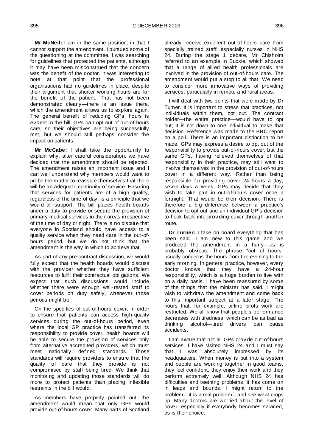**Mr McNeil:** I am in the same position, in that I cannot support the amendment. I pursued some of the questioning at the committee. I was searching for guidelines that protected the patients, although it may have been misconstrued that the concern was the benefit of the doctor. It was interesting to note at that point that the professional organisations had no guidelines in place, despite their argument that shorter working hours are for the benefit of the patient. That has not been demonstrated clearly—there is an issue there, which the amendment allows us to explore again. The general benefit of reducing GPs' hours is evident in the bill. GPs can opt out of out-of-hours care, so their objectives are being successfully met, but we should still perhaps consider the impact on patients.

**Mr McCabe:** I shall take the opportunity to explain why, after careful consideration, we have decided that the amendment should be rejected. The amendment raises an important issue and I can well understand why members would want to probe the matter to reassure themselves that there will be an adequate continuity of service. Ensuring that services for patients are of a high quality, regardless of the time of day, is a principle that we would all support. The bill places health boards under a duty to provide or secure the provision of primary medical services in their areas irrespective of the time of day or night. There is no dispute that everyone in Scotland should have access to a quality service when they need care in the out-ofhours period, but we do not think that the amendment is the way in which to achieve that.

As part of any pre-contract discussion, we would fully expect that the health boards would discuss with the provider whether they have sufficient resources to fulfil their contractual obligations. We expect that such discussions would include whether there were enough well-rested staff to cover periods on duty safely, whenever those periods might be.

On the specifics of out-of-hours cover, in order to ensure that patients can access high-quality services during the out-of-hours period, even where the local GP practice has transferred its responsibility to provide cover, health boards will be able to secure the provision of services only from alternative accredited providers, which must meet nationally defined standards. Those standards will require providers to ensure that the quality of care that they provide is not compromised by staff being tired. We think that monitoring and updating those standards will do more to protect patients than placing inflexible restraints in the bill would.

As members have properly pointed out, the amendment would mean that only GPs would provide out-of-hours cover. Many parts of Scotland already receive excellent out-of-hours care from specially trained staff, especially nurses in NHS 24. During the stage 1 debate, Mr Chisholm referred to an example in Buckie, which showed that a range of allied health professionals are involved in the provision of out-of-hours care. The amendment would put a stop to all that. We need to consider more innovative ways of providing services, particularly in remote and rural areas.

I will deal with two points that were made by Dr Turner. It is important to stress that practices, not individuals within them, opt out. The contract holder—the entire practice—would have to opt out; it is not down to one individual to make that decision. Reference was made to the BBC report on a poll. There is an important distinction to be made. GPs may express a desire to opt out of the responsibility to provide out-of-hours cover, but the same GPs, having relieved themselves of that responsibility in their practice, may still want to involve themselves in the provision of out-of-hours cover in a different way. Rather than being responsible for providing cover 24 hours a day, seven days a week, GPs may decide that they wish to take part in out-of-hours cover once a fortnight. That would be their decision. There is therefore a big difference between a practice's decision to opt out and an individual GP's decision to hook back into providing cover through another route.

**Dr Turner:** I take on board everything that has been said. I am new to this game and we produced the amendment in a hurry—as is probably obvious. The phrase "out of hours" usually concerns the hours from the evening to the early morning. In general practice, however, every doctor knows that they have a 24-hour responsibility, which is a huge burden to live with on a daily basis. I have been reassured by some of the things that the minister has said. I might wish to withdraw the amendment and come back to this important subject at a later stage. The hours that, for example, airline pilots work are restricted. We all know that people's performance decreases with tiredness, which can be as bad as drinking alcohol—tired drivers can cause accidents.

I am aware that not all GPs provide out-of-hours services. I have visited NHS 24 and I must say that I was absolutely impressed by its headquarters. When money is put into a system and people are working together in good teams, they feel confident, they enjoy their work and they perform extremely well. Although NHS 24 has difficulties and teething problems, it has come on in leaps and bounds. I might return to the problem—it is a real problem—and see what crops up. Many doctors are worried about the level of cover, especially if everybody becomes salaried, as is their choice.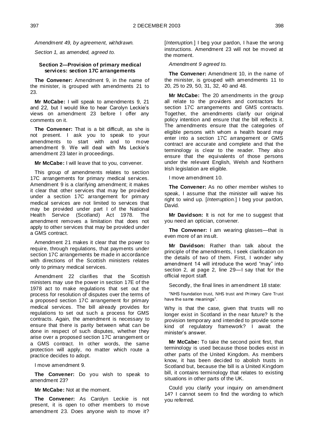*Amendment 49, by agreement, withdrawn.* 

*Section 1, as amended, agreed to.* 

# **Section 2—Provision of primary medical services: section 17C arrangements**

**The Convener:** Amendment 9, in the name of the minister, is grouped with amendments 21 to 23.

**Mr McCabe:** I will speak to amendments 9, 21 and 22, but I would like to hear Carolyn Leckie's views on amendment 23 before I offer any comments on it.

**The Convener:** That is a bit difficult, as she is not present. I ask you to speak to your amendments to start with and to move amendment 9. We will deal with Ms Leckie's amendment 23 later in proceedings.

**Mr McCabe:** I will leave that to you, convener.

This group of amendments relates to section 17C arrangements for primary medical services. Amendment 9 is a clarifying amendment; it makes it clear that other services that may be provided under a section 17C arrangement for primary medical services are not limited to services that may be provided under part I of the National Health Service (Scotland) Act 1978. The amendment removes a limitation that does not apply to other services that may be provided under a GMS contract.

Amendment 21 makes it clear that the power to require, through regulations, that payments under section 17C arrangements be made in accordance with directions of the Scottish ministers relates only to primary medical services.

Amendment 22 clarifies that the Scottish ministers may use the power in section 17E of the 1978 act to make regulations that set out the process for resolution of disputes over the terms of a proposed section 17C arrangement for primary medical services. The bill already provides for regulations to set out such a process for GMS contracts. Again, the amendment is necessary to ensure that there is parity between what can be done in respect of such disputes, whether they arise over a proposed section 17C arrangement or a GMS contract. In other words, the same protection will apply, no matter which route a practice decides to adopt.

I move amendment 9.

**The Convener:** Do you wish to speak to amendment 23?

**Mr McCabe:** Not at the moment.

**The Convener:** As Carolyn Leckie is not present, it is open to other members to move amendment 23. Does anyone wish to move it?

[*Interruption.*] I beg your pardon, I have the wrong instructions. Amendment 23 will not be moved at the moment.

*Amendment 9 agreed to.*

**The Convener:** Amendment 10, in the name of the minister, is grouped with amendments 11 to 20, 25 to 29, 50, 31, 32, 40 and 48.

**Mr McCabe:** The 20 amendments in the group all relate to the providers and contractors for section 17C arrangements and GMS contracts. Together, the amendments clarify our original policy intention and ensure that the bill reflects it. The amendments ensure that the categories of eligible persons with whom a health board may enter into a section 17C arrangement or GMS contract are accurate and complete and that the terminology is clear to the reader. They also ensure that the equivalents of those persons under the relevant English, Welsh and Northern Irish legislation are eligible.

I move amendment 10.

**The Convener:** As no other member wishes to speak, I assume that the minister will waive his right to wind up. [*Interruption.*] I beg your pardon, David.

**Mr Davidson:** It is not for me to suggest that you need an optician, convener.

**The Convener:** I am wearing glasses—that is even more of an insult.

**Mr Davidson:** Rather than talk about the principle of the amendments, I seek clarification on the details of two of them. First, I wonder why amendment 14 will introduce the word "may" into section 2, at page 2, line 29—I say that for the official report staff.

Secondly, the final lines in amendment 18 state:

"NHS foundation trust, NHS trust and Primary Care Trust have the same meanings".

Why is that the case, given that trusts will no longer exist in Scotland in the near future? Is the provision temporary and intended to provide some kind of regulatory framework? I await the minister's answer.

**Mr McCabe:** To take the second point first, that terminology is used because those bodies exist in other parts of the United Kingdom. As members know, it has been decided to abolish trusts in Scotland but, because the bill is a United Kingdom bill, it contains terminology that relates to existing situations in other parts of the UK.

Could you clarify your inquiry on amendment 14? I cannot seem to find the wording to which you referred.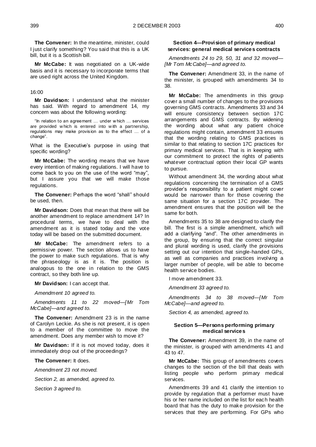**The Convener:** In the meantime, minister, could I just clarify something? You said that this is a UK bill, but it is a Scottish bill.

**Mr McCabe:** It was negotiated on a UK-wide basis and it is necessary to incorporate terms that are used right across the United Kingdom.

#### 16:00

**Mr Davidson:** I understand what the minister has said. With regard to amendment 14, my concern was about the following wording:

"In relation to an agreement ... under w hich ... services are provided w hich is entered into w ith a partnership, regulations may make provision as to the effect … of a change".

What is the Executive's purpose in using that specific wording?

**Mr McCabe:** The wording means that we have every intention of making regulations. I will have to come back to you on the use of the word "may", but I assure you that we will make those regulations.

The Convener: Perhaps the word "shall" should be used, then.

**Mr Davidson:** Does that mean that there will be another amendment to replace amendment 14? In procedural terms, we have to deal with the amendment as it is stated today and the vote today will be based on the submitted document.

**Mr McCabe:** The amendment refers to a permissive power. The section allows us to have the power to make such regulations. That is why the phraseology is as it is. The position is analogous to the one in relation to the GMS contract, so they both line up.

**Mr Davidson:** I can accept that.

*Amendment 10 agreed to.* 

*Amendments 11 to 22 moved—[Mr Tom McCabe]—and agreed to.* 

**The Convener:** Amendment 23 is in the name of Carolyn Leckie. As she is not present, it is open to a member of the committee to move the amendment. Does any member wish to move it?

**Mr Davidson:** If it is not moved today, does it immediately drop out of the proceedings?

**The Convener:** It does.

*Amendment 23 not moved.* 

*Section 2, as amended, agreed to.*

*Section 3 agreed to.* 

# **Section 4—Provision of primary medical services: general medical services contracts**

*Amendments 24 to 29, 50, 31 and 32 moved— [Mr Tom McCabe]—and agreed to.* 

**The Convener:** Amendment 33, in the name of the minister, is grouped with amendments 34 to 38.

**Mr McCabe:** The amendments in this group cover a small number of changes to the provisions governing GMS contracts. Amendments 33 and 34 will ensure consistency between section 17C arrangements and GMS contracts. By widening the wording about what any patient choice regulations might contain, amendment 33 ensures that the wording relating to GMS practices is similar to that relating to section 17C practices for primary medical services. That is in keeping with our commitment to protect the rights of patients whatever contractual option their local GP wants to pursue.

Without amendment 34, the wording about what regulations concerning the termination of a GMS provider's responsibility to a patient might cover would be narrower than for those covering the same situation for a section 17C provider. The amendment ensures that the position will be the same for both.

Amendments 35 to 38 are designed to clarify the bill. The first is a simple amendment, which will add a clarifying "and". The other amendments in the group, by ensuring that the correct singular and plural wording is used, clarify the provisions setting out our intention that single-handed GPs, as well as companies and practices involving a larger number of people, will be able to become health service bodies.

I move amendment 33.

*Amendment 33 agreed to.*

*Amendments 34 to 38 moved—[Mr Tom McCabe]—and agreed to.*

*Section 4, as amended, agreed to.*

### **Section 5—Persons performing primary medical services**

**The Convener:** Amendment 39, in the name of the minister, is grouped with amendments 41 and 43 to 47.

**Mr McCabe:** This group of amendments covers changes to the section of the bill that deals with listing people who perform primary medical services.

Amendments 39 and 41 clarify the intention to provide by regulation that a performer must have his or her name included on the list for each health board that has the duty to make provision for the services that they are performing. For GPs who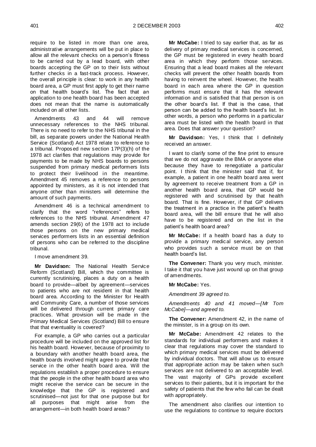require to be listed in more than one area, administrative arrangements will be put in place to allow all the relevant checks on a person's fitness to be carried out by a lead board, with other boards accepting the GP on to their lists without further checks in a fast-track process. However, the overall principle is clear: to work in any health board area, a GP must first apply to get their name on that health board's list. The fact that an application to one health board has been accepted does not mean that the name is automatically included on all other lists.

Amendments 43 and 44 will remove unnecessary references to the NHS tribunal. There is no need to refer to the NHS tribunal in the bill, as separate powers under the National Health Service (Scotland) Act 1978 relate to reference to a tribunal. Proposed new section 17P(3)(h) of the 1978 act clarifies that regulations may provide for payments to be made by NHS boards to persons suspended from primary medical performers lists to protect their livelihood in the meantime. Amendment 45 removes a reference to persons appointed by ministers, as it is not intended that anyone other than ministers will determine the amount of such payments.

Amendment 46 is a technical amendment to clarify that the word "references" refers to references to the NHS tribunal. Amendment 47 amends section 29(6) of the 1978 act to include those persons on the new primary medical services performers lists in an essential definition of persons who can be referred to the discipline tribunal.

I move amendment 39.

**Mr Davidson:** The National Health Service Reform (Scotland) Bill, which the committee is currently scrutinising, places a duty on a health board to provide—albeit by agreement—services to patients who are not resident in that health board area. According to the Minister for Health and Community Care, a number of those services will be delivered through current primary care practices. What provision will be made in the Primary Medical Services (Scotland) Bill to ensure that that eventuality is covered?

For example, a GP who carries out a particular procedure will be included on the approved list for his health board. However, because of proximity to a boundary with another health board area, the health boards involved might agree to provide that service in the other health board area. Will the regulations establish a proper procedure to ensure that the people in the other health board area who might receive the service can be secure in the knowledge that the GP is registered and scrutinised—not just for that one purpose but for all purposes that might arise from the arrangement—in both health board areas?

**Mr McCabe:** I tried to say earlier that, as far as delivery of primary medical services is concerned, the GP must be registered in every health board area in which they perform those services. Ensuring that a lead board makes all the relevant checks will prevent the other health boards from having to reinvent the wheel. However, the health board in each area where the GP in question performs must ensure that it has the relevant information and is satisfied that that person is on the other board's list. If that is the case, that person can be added to the health board's list. In other words, a person who performs in a particular area must be listed with the health board in that area. Does that answer your question?

**Mr Davidson:** Yes, I think that I definitely received an answer.

I want to clarify some of the fine print to ensure that we do not aggravate the BMA or anyone else because they have to renegotiate a particular point. I think that the minister said that if, for example, a patient in one health board area went by agreement to receive treatment from a GP in another health board area, that GP would be registered with and scrutinised by that health board. That is fine. However, if that GP delivers the treatment in a practice in the patient's health board area, will the bill ensure that he will also have to be registered and on the list in the patient's health board area?

**Mr McCabe:** If a health board has a duty to provide a primary medical service, any person who provides such a service must be on that health board's list.

**The Convener:** Thank you very much, minister. I take it that you have just wound up on that group of amendments.

**Mr McCabe:** Yes.

*Amendment 39 agreed to.*

*Amendments 40 and 41 moved—[Mr Tom McCabe]—and agreed to.*

**The Convener:** Amendment 42, in the name of the minister, is in a group on its own.

**Mr McCabe:** Amendment 42 relates to the standards for individual performers and makes it clear that regulations may cover the standard to which primary medical services must be delivered by individual doctors. That will allow us to ensure that appropriate action may be taken when such services are not delivered to an acceptable level. The vast majority of GPs provide excellent services to their patients, but it is important for the safety of patients that the few who fail can be dealt with appropriately.

The amendment also clarifies our intention to use the regulations to continue to require doctors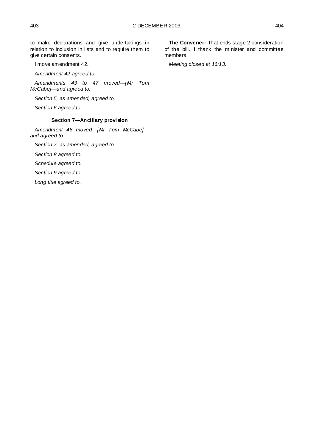to make declarations and give undertakings in relation to inclusion in lists and to require them to

I move amendment 42.

give certain consents.

*Amendment 42 agreed to.*

*Amendments 43 to 47 moved—[Mr Tom McCabe]—and agreed to.*

*Section 5, as amended, agreed to.*

*Section 6 agreed to.*

# **Section 7—Ancillary provision**

*Amendment 48 moved—[Mr Tom McCabe] and agreed to.*

*Section 7, as amended, agreed to.*

*Section 8 agreed to.*

*Schedule agreed to.*

*Section 9 agreed to.*

*Long title agreed to.*

**The Convener:** That ends stage 2 consideration of the bill. I thank the minister and committee members.

*Meeting closed at 16:13.*